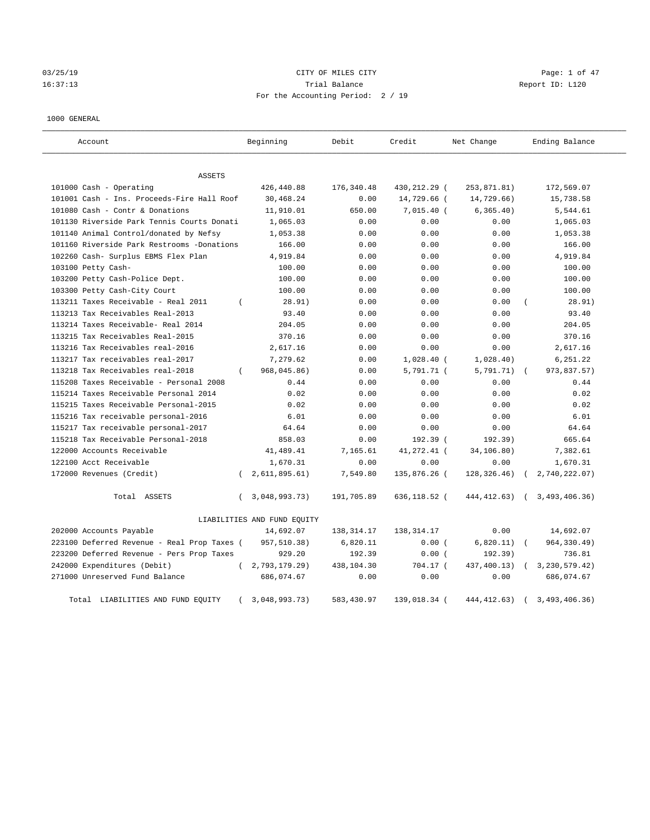# 03/25/19 Page: 1 of 47 16:37:13 Trial Balance Report ID: L120 For the Accounting Period: 2 / 19

#### 1000 GENERAL

| Account                                     |          | Beginning                   | Debit        | Credit       | Net Change   |            | Ending Balance    |
|---------------------------------------------|----------|-----------------------------|--------------|--------------|--------------|------------|-------------------|
| ASSETS                                      |          |                             |              |              |              |            |                   |
| 101000 Cash - Operating                     |          | 426,440.88                  | 176,340.48   | 430,212.29 ( | 253,871.81)  |            | 172,569.07        |
| 101001 Cash - Ins. Proceeds-Fire Hall Roof  |          | 30,468.24                   | 0.00         | 14,729.66 (  | 14,729.66)   |            | 15,738.58         |
| 101080 Cash - Contr & Donations             |          | 11,910.01                   | 650.00       | $7,015.40$ ( | 6, 365.40)   |            | 5,544.61          |
| 101130 Riverside Park Tennis Courts Donati  |          | 1,065.03                    | 0.00         | 0.00         | 0.00         |            | 1,065.03          |
| 101140 Animal Control/donated by Nefsy      |          | 1,053.38                    | 0.00         | 0.00         | 0.00         |            | 1,053.38          |
| 101160 Riverside Park Restrooms -Donations  |          | 166.00                      | 0.00         | 0.00         | 0.00         |            | 166.00            |
| 102260 Cash- Surplus EBMS Flex Plan         |          | 4,919.84                    | 0.00         | 0.00         | 0.00         |            | 4,919.84          |
| 103100 Petty Cash-                          |          | 100.00                      | 0.00         | 0.00         | 0.00         |            | 100.00            |
| 103200 Petty Cash-Police Dept.              |          | 100.00                      | 0.00         | 0.00         | 0.00         |            | 100.00            |
| 103300 Petty Cash-City Court                |          | 100.00                      | 0.00         | 0.00         | 0.00         |            | 100.00            |
| 113211 Taxes Receivable - Real 2011         | $\left($ | 28.91)                      | 0.00         | 0.00         | 0.00         |            | 28.91)            |
| 113213 Tax Receivables Real-2013            |          | 93.40                       | 0.00         | 0.00         | 0.00         |            | 93.40             |
| 113214 Taxes Receivable- Real 2014          |          | 204.05                      | 0.00         | 0.00         | 0.00         |            | 204.05            |
| 113215 Tax Receivables Real-2015            |          | 370.16                      | 0.00         | 0.00         | 0.00         |            | 370.16            |
| 113216 Tax Receivables real-2016            |          | 2,617.16                    | 0.00         | 0.00         | 0.00         |            | 2,617.16          |
| 113217 Tax receivables real-2017            |          | 7,279.62                    | 0.00         | $1,028.40$ ( | 1,028.40)    |            | 6,251.22          |
| 113218 Tax Receivables real-2018            | $\left($ | 968,045.86)                 | 0.00         | 5,791.71 (   | 5,791.71)    | $\sqrt{2}$ | 973,837.57)       |
| 115208 Taxes Receivable - Personal 2008     |          | 0.44                        | 0.00         | 0.00         | 0.00         |            | 0.44              |
| 115214 Taxes Receivable Personal 2014       |          | 0.02                        | 0.00         | 0.00         | 0.00         |            | 0.02              |
| 115215 Taxes Receivable Personal-2015       |          | 0.02                        | 0.00         | 0.00         | 0.00         |            | 0.02              |
| 115216 Tax receivable personal-2016         |          | 6.01                        | 0.00         | 0.00         | 0.00         |            | 6.01              |
| 115217 Tax receivable personal-2017         |          | 64.64                       | 0.00         | 0.00         | 0.00         |            | 64.64             |
| 115218 Tax Receivable Personal-2018         |          | 858.03                      | 0.00         | 192.39 (     | 192.39)      |            | 665.64            |
| 122000 Accounts Receivable                  |          | 41,489.41                   | 7,165.61     | 41,272.41 (  | 34,106.80)   |            | 7,382.61          |
| 122100 Acct Receivable                      |          | 1,670.31                    | 0.00         | 0.00         | 0.00         |            | 1,670.31          |
| 172000 Revenues (Credit)                    | $\left($ | 2,611,895.61)               | 7,549.80     | 135,876.26 ( | 128, 326.46) |            | 2,740,222.07)     |
| Total ASSETS                                | $\left($ | 3,048,993.73)               | 191,705.89   | 636,118.52 ( | 444, 412.63) |            | (3, 493, 406, 36) |
|                                             |          | LIABILITIES AND FUND EQUITY |              |              |              |            |                   |
| 202000 Accounts Payable                     |          | 14,692.07                   | 138, 314. 17 | 138, 314. 17 | 0.00         |            | 14,692.07         |
| 223100 Deferred Revenue - Real Prop Taxes ( |          | 957,510.38)                 | 6,820.11     | 0.00(        | 6,820.11)    |            | 964, 330.49)      |
| 223200 Deferred Revenue - Pers Prop Taxes   |          | 929.20                      | 192.39       | 0.00(        | 192.39)      |            | 736.81            |
| 242000 Expenditures (Debit)                 | $\left($ | 2,793,179.29)               | 438,104.30   | 704.17 (     | 437,400.13)  |            | 3, 230, 579. 42)  |
| 271000 Unreserved Fund Balance              |          | 686,074.67                  | 0.00         | 0.00         | 0.00         |            | 686,074.67        |
| Total LIABILITIES AND FUND EQUITY           |          | 3,048,993.73)               | 583,430.97   | 139,018.34 ( | 444, 412.63) |            | 3,493,406.36)     |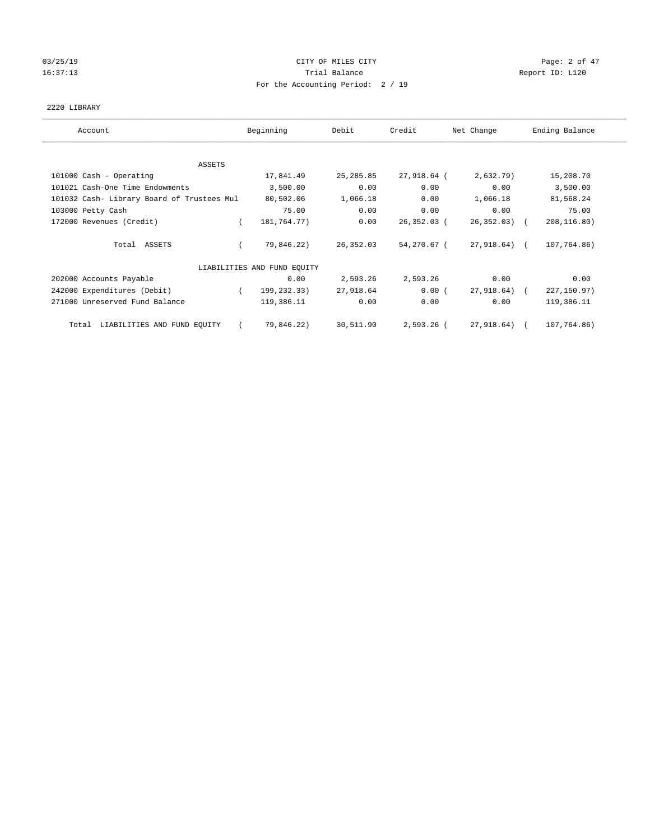# 03/25/19 Page: 2 of 47 16:37:13 Channel Balance Trial Balance Report ID: L120 For the Accounting Period: 2 / 19

## 2220 LIBRARY

| Account                                    | Beginning                   | Debit      | Credit        | Net Change      | Ending Balance |
|--------------------------------------------|-----------------------------|------------|---------------|-----------------|----------------|
| ASSETS                                     |                             |            |               |                 |                |
| 101000 Cash - Operating                    | 17,841.49                   | 25, 285.85 | 27,918.64 (   | 2,632.79)       | 15,208.70      |
| 101021 Cash-One Time Endowments            | 3,500.00                    | 0.00       | 0.00          | 0.00            | 3,500.00       |
| 101032 Cash- Library Board of Trustees Mul | 80,502.06                   | 1,066.18   | 0.00          | 1,066.18        | 81,568.24      |
| 103000 Petty Cash                          | 75.00                       | 0.00       | 0.00          | 0.00            | 75.00          |
| 172000 Revenues (Credit)                   | 181,764.77)                 | 0.00       | $26,352.03$ ( | $26, 352, 03$ ( | 208, 116.80)   |
| Total ASSETS                               | 79,846.22)                  | 26,352.03  | 54,270.67 (   | 27,918.64) (    | 107,764.86)    |
|                                            | LIABILITIES AND FUND EQUITY |            |               |                 |                |
| 202000 Accounts Payable                    | 0.00                        | 2,593.26   | 2,593.26      | 0.00            | 0.00           |
| 242000 Expenditures (Debit)                | 199,232.33)                 | 27,918.64  | 0.00(         | 27,918.64)      | 227, 150.97)   |
| 271000 Unreserved Fund Balance             | 119,386.11                  | 0.00       | 0.00          | 0.00            | 119,386.11     |
| LIABILITIES AND FUND EQUITY<br>Total       | 79,846.22)                  | 30,511.90  | $2,593.26$ (  | 27,918.64)      | 107,764.86)    |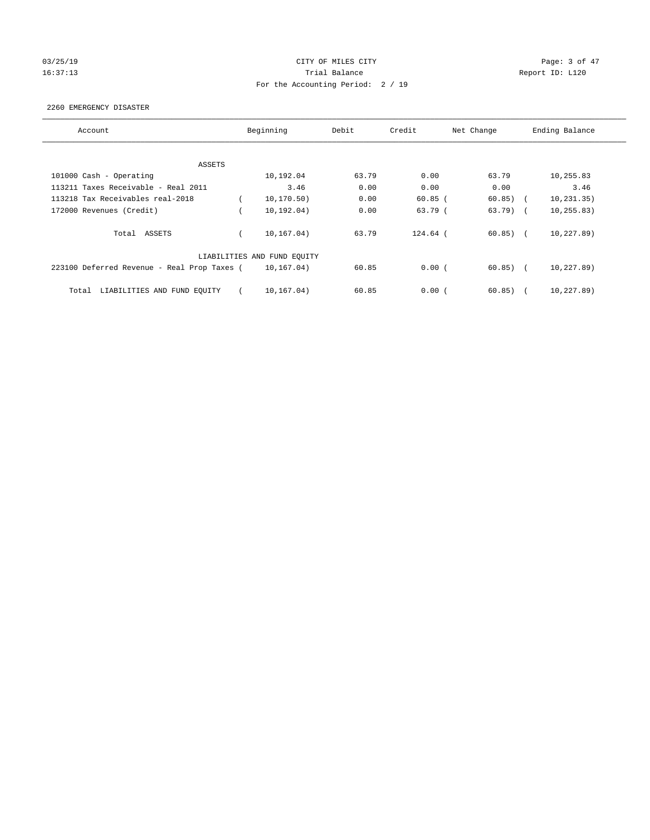# 03/25/19 Page: 3 of 47 16:37:13 Channel Balance Trial Balance Report ID: L120 For the Accounting Period: 2 / 19

### 2260 EMERGENCY DISASTER

| Account                                     | Beginning                   | Debit | Credit    | Net Change | Ending Balance |             |
|---------------------------------------------|-----------------------------|-------|-----------|------------|----------------|-------------|
|                                             |                             |       |           |            |                |             |
| ASSETS                                      |                             |       |           |            |                |             |
| 101000 Cash - Operating                     | 10,192.04                   | 63.79 | 0.00      | 63.79      |                | 10,255.83   |
| 113211 Taxes Receivable - Real 2011         | 3.46                        | 0.00  | 0.00      | 0.00       |                | 3.46        |
| 113218 Tax Receivables real-2018            | 10, 170.50)                 | 0.00  | $60.85$ ( | 60.85)     |                | 10, 231.35) |
| 172000 Revenues (Credit)                    | 10, 192, 04)                | 0.00  | 63.79 (   | $63.79$ (  |                | 10, 255.83) |
| Total ASSETS                                | 10, 167, 04)                | 63.79 | 124.64 (  | 60.85)     |                | 10,227.89)  |
|                                             | LIABILITIES AND FUND EQUITY |       |           |            |                |             |
| 223100 Deferred Revenue - Real Prop Taxes ( | 10,167.04)                  | 60.85 | 0.00(     | $60.85)$ ( |                | 10,227.89)  |
| LIABILITIES AND FUND EQUITY<br>Total        | 10,167.04)                  | 60.85 | 0.00(     | 60.85)     |                | 10,227.89)  |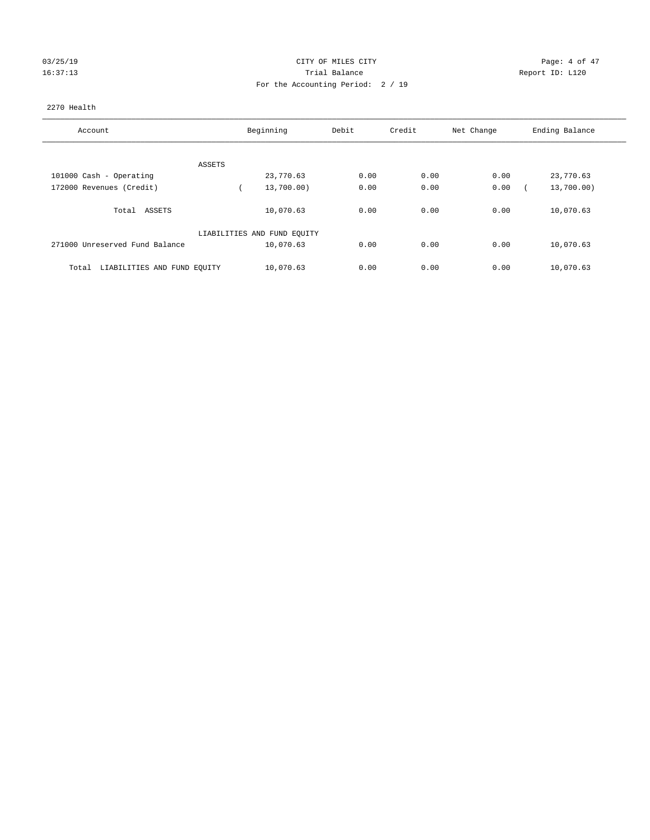# 03/25/19 CITY OF MILES CITY CHARGES CONTROLLER CONTROL Page: 4 of 47 16:37:13 Channel Balance Trial Balance Report ID: L120 For the Accounting Period: 2 / 19

## 2270 Health

| Account                              | Beginning                   | Debit | Credit | Net Change | Ending Balance |  |
|--------------------------------------|-----------------------------|-------|--------|------------|----------------|--|
|                                      |                             |       |        |            |                |  |
| ASSETS                               |                             |       |        |            |                |  |
| 101000 Cash - Operating              | 23,770.63                   | 0.00  | 0.00   | 0.00       | 23,770.63      |  |
| 172000 Revenues (Credit)             | 13,700.00)                  | 0.00  | 0.00   | 0.00       | 13,700.00)     |  |
| ASSETS<br>Total                      | 10,070.63                   | 0.00  | 0.00   | 0.00       | 10,070.63      |  |
|                                      | LIABILITIES AND FUND EQUITY |       |        |            |                |  |
| 271000 Unreserved Fund Balance       | 10,070.63                   | 0.00  | 0.00   | 0.00       | 10,070.63      |  |
| LIABILITIES AND FUND EQUITY<br>Total | 10,070.63                   | 0.00  | 0.00   | 0.00       | 10,070.63      |  |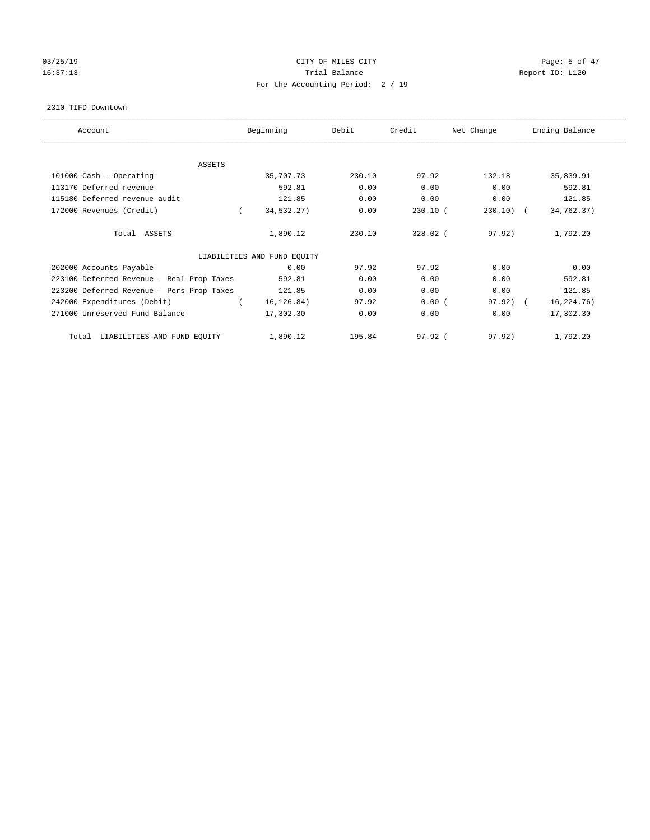# 03/25/19 **CITY OF MILES CITY CITY CITY CITY Page: 5 of 47** 16:37:13 Channel Balance Trial Balance Report ID: L120 For the Accounting Period: 2 / 19

#### 2310 TIFD-Downtown

| Account                                   | Beginning                   | Debit  | Credit     | Net Change  | Ending Balance |
|-------------------------------------------|-----------------------------|--------|------------|-------------|----------------|
| <b>ASSETS</b>                             |                             |        |            |             |                |
| 101000 Cash - Operating                   | 35,707.73                   | 230.10 | 97.92      | 132.18      | 35,839.91      |
| 113170 Deferred revenue                   | 592.81                      | 0.00   | 0.00       | 0.00        | 592.81         |
| 115180 Deferred revenue-audit             | 121.85                      | 0.00   | 0.00       | 0.00        | 121.85         |
| 172000 Revenues (Credit)                  | 34,532.27)                  | 0.00   | $230.10$ ( | $230.10)$ ( | 34,762.37)     |
| Total ASSETS                              | 1,890.12                    | 230.10 | 328.02 (   | 97.92)      | 1,792.20       |
|                                           | LIABILITIES AND FUND EQUITY |        |            |             |                |
| 202000 Accounts Payable                   | 0.00                        | 97.92  | 97.92      | 0.00        | 0.00           |
| 223100 Deferred Revenue - Real Prop Taxes | 592.81                      | 0.00   | 0.00       | 0.00        | 592.81         |
| 223200 Deferred Revenue - Pers Prop Taxes | 121.85                      | 0.00   | 0.00       | 0.00        | 121.85         |
| 242000 Expenditures (Debit)               | 16, 126.84)                 | 97.92  | 0.00(      | $97.92$ ) ( | 16,224.76)     |
| 271000 Unreserved Fund Balance            | 17,302.30                   | 0.00   | 0.00       | 0.00        | 17,302.30      |
| LIABILITIES AND FUND EQUITY<br>Total      | 1,890.12                    | 195.84 | $97.92$ (  | 97.92)      | 1,792.20       |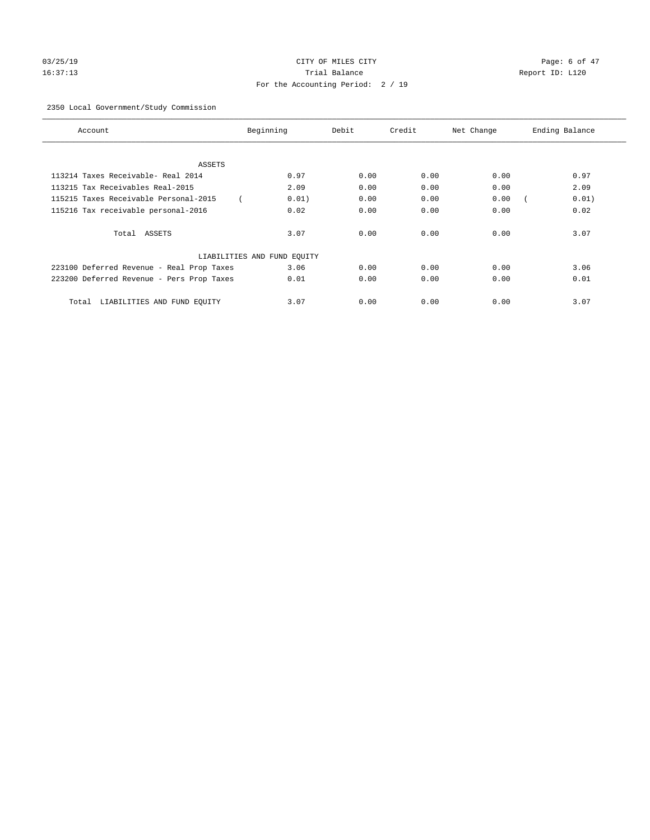# 03/25/19 CITY OF MILES CITY CHANNEL CITY CONTROL Page: 6 of 47 16:37:13 Trial Balance Report ID: L120 For the Accounting Period: 2 / 19

## 2350 Local Government/Study Commission

| Account                                   | Beginning                   | Debit | Credit | Net Change | Ending Balance |
|-------------------------------------------|-----------------------------|-------|--------|------------|----------------|
|                                           |                             |       |        |            |                |
| ASSETS                                    |                             |       |        |            |                |
| 113214 Taxes Receivable- Real 2014        | 0.97                        | 0.00  | 0.00   | 0.00       | 0.97           |
| 113215 Tax Receivables Real-2015          | 2.09                        | 0.00  | 0.00   | 0.00       | 2.09           |
| 115215 Taxes Receivable Personal-2015     | 0.01)                       | 0.00  | 0.00   | 0.00       | 0.01)          |
| 115216 Tax receivable personal-2016       | 0.02                        | 0.00  | 0.00   | 0.00       | 0.02           |
| Total ASSETS                              | 3.07                        | 0.00  | 0.00   | 0.00       | 3.07           |
|                                           | LIABILITIES AND FUND EQUITY |       |        |            |                |
| 223100 Deferred Revenue - Real Prop Taxes | 3.06                        | 0.00  | 0.00   | 0.00       | 3.06           |
| 223200 Deferred Revenue - Pers Prop Taxes | 0.01                        | 0.00  | 0.00   | 0.00       | 0.01           |
| LIABILITIES AND FUND EQUITY<br>Total      | 3.07                        | 0.00  | 0.00   | 0.00       | 3.07           |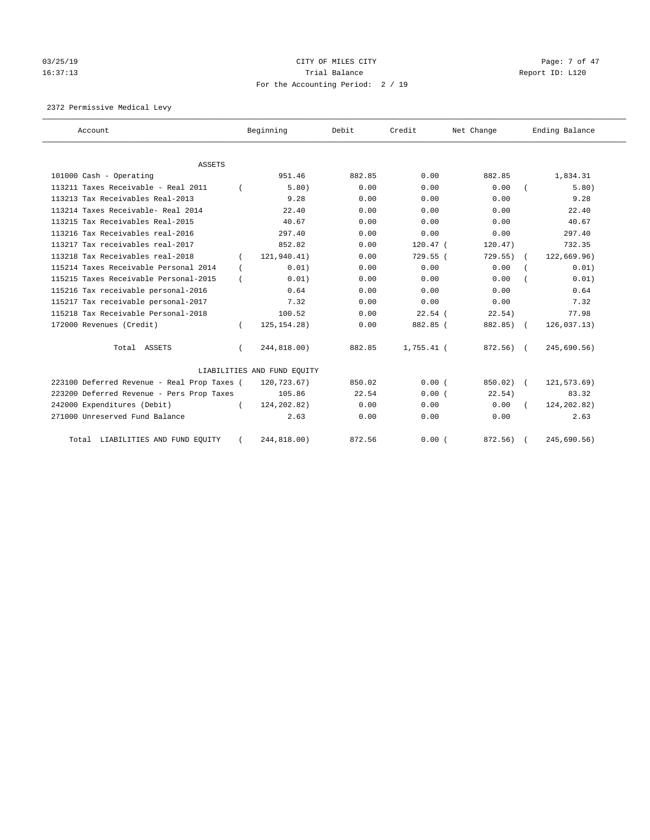# 03/25/19 CITY OF MILES CITY CHANNEL CITY CONTROL Page: 7 of 47 16:37:13 Channel Balance Trial Balance Report ID: L120 For the Accounting Period: 2 / 19

2372 Permissive Medical Levy

| Account                                     |          | Beginning                   | Debit  | Credit       | Net Change | Ending Balance |
|---------------------------------------------|----------|-----------------------------|--------|--------------|------------|----------------|
| ASSETS                                      |          |                             |        |              |            |                |
| 101000 Cash - Operating                     |          | 951.46                      | 882.85 | 0.00         | 882.85     | 1,834.31       |
| 113211 Taxes Receivable - Real 2011         |          | 5.80)                       | 0.00   | 0.00         | 0.00       | 5.80)          |
| 113213 Tax Receivables Real-2013            |          | 9.28                        | 0.00   | 0.00         | 0.00       | 9.28           |
| 113214 Taxes Receivable- Real 2014          |          | 22.40                       | 0.00   | 0.00         | 0.00       | 22.40          |
| 113215 Tax Receivables Real-2015            |          | 40.67                       | 0.00   | 0.00         | 0.00       | 40.67          |
| 113216 Tax Receivables real-2016            |          | 297.40                      | 0.00   | 0.00         | 0.00       | 297.40         |
| 113217 Tax receivables real-2017            |          | 852.82                      | 0.00   | $120.47$ (   | 120.47)    | 732.35         |
| 113218 Tax Receivables real-2018            |          | 121,940.41)                 | 0.00   | 729.55 (     | 729.55     | 122,669.96)    |
| 115214 Taxes Receivable Personal 2014       |          | 0.01)                       | 0.00   | 0.00         | 0.00       | 0.01)          |
| 115215 Taxes Receivable Personal-2015       |          | 0.01)                       | 0.00   | 0.00         | 0.00       | 0.01)          |
| 115216 Tax receivable personal-2016         |          | 0.64                        | 0.00   | 0.00         | 0.00       | 0.64           |
| 115217 Tax receivable personal-2017         |          | 7.32                        | 0.00   | 0.00         | 0.00       | 7.32           |
| 115218 Tax Receivable Personal-2018         |          | 100.52                      | 0.00   | $22.54$ (    | 22.54)     | 77.98          |
| 172000 Revenues (Credit)                    |          | 125, 154. 28)               | 0.00   | 882.85 (     | 882.85) (  | 126,037.13)    |
| Total ASSETS                                | $\left($ | 244,818.00)                 | 882.85 | $1,755.41$ ( | 872.56) (  | 245,690.56)    |
|                                             |          | LIABILITIES AND FUND EQUITY |        |              |            |                |
| 223100 Deferred Revenue - Real Prop Taxes ( |          | 120,723.67)                 | 850.02 | 0.00(        | 850.02)    | 121,573.69)    |
| 223200 Deferred Revenue - Pers Prop Taxes   |          | 105.86                      | 22.54  | 0.00(        | 22.54)     | 83.32          |
| 242000 Expenditures (Debit)                 |          | 124, 202.82)                | 0.00   | 0.00         | 0.00       | 124, 202.82)   |
| 271000 Unreserved Fund Balance              |          | 2.63                        | 0.00   | 0.00         | 0.00       | 2.63           |
| Total LIABILITIES AND FUND EQUITY           |          | 244,818.00)                 | 872.56 | 0.00(        | 872.56) (  | 245,690.56)    |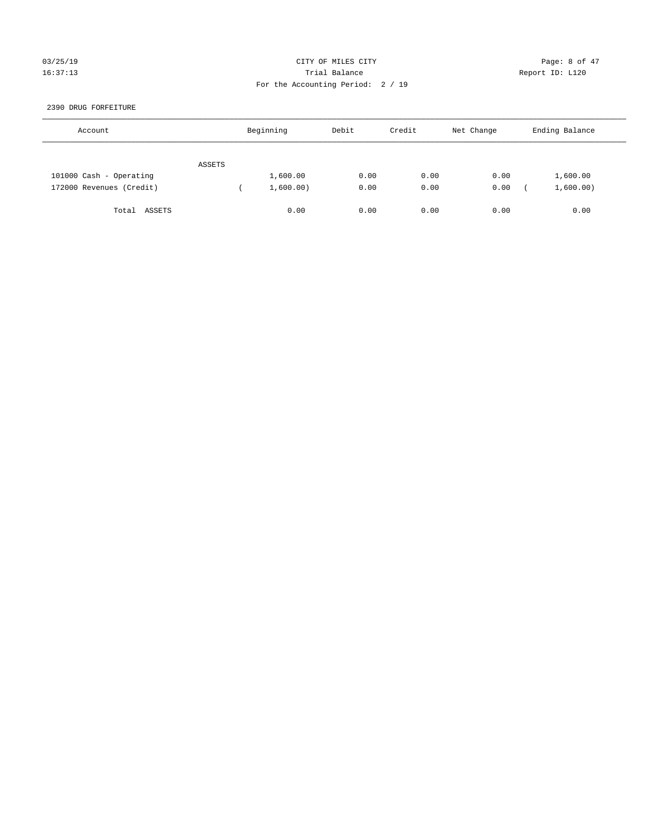## 03/25/19 Page: 8 of 47 16:37:13 Trial Balance Report ID: L120 For the Accounting Period: 2 / 19

### 2390 DRUG FORFEITURE

| Account                  |        | Beginning | Debit | Credit | Net Change | Ending Balance |
|--------------------------|--------|-----------|-------|--------|------------|----------------|
|                          | ASSETS |           |       |        |            |                |
| 101000 Cash - Operating  |        | 1,600.00  | 0.00  | 0.00   | 0.00       | 1,600.00       |
| 172000 Revenues (Credit) |        | 1,600.00) | 0.00  | 0.00   | 0.00       | 1,600.00)      |
| Total ASSETS             |        | 0.00      | 0.00  | 0.00   | 0.00       | 0.00           |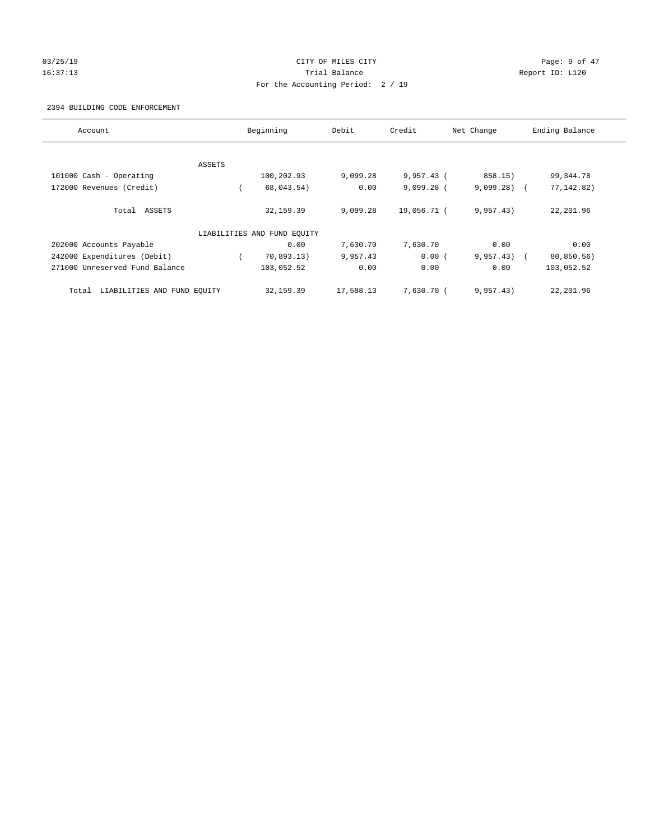## 03/25/19 Page: 9 of 47 16:37:13 Trial Balance Report ID: L120 For the Accounting Period: 2 / 19

#### 2394 BUILDING CODE ENFORCEMENT

| Account                              |        | Beginning                   | Debit     | Credit       | Net Change   | Ending Balance |
|--------------------------------------|--------|-----------------------------|-----------|--------------|--------------|----------------|
|                                      |        |                             |           |              |              |                |
|                                      | ASSETS |                             |           |              |              |                |
| 101000 Cash - Operating              |        | 100,202.93                  | 9,099.28  | $9,957.43$ ( | 858.15)      | 99,344.78      |
| 172000 Revenues (Credit)             |        | 68,043.54)                  | 0.00      | $9,099.28$ ( | $9,099.28$ ( | 77, 142.82)    |
| Total ASSETS                         |        | 32, 159.39                  | 9,099.28  | 19,056.71 (  | 9,957.43)    | 22,201.96      |
|                                      |        | LIABILITIES AND FUND EQUITY |           |              |              |                |
| 202000 Accounts Payable              |        | 0.00                        | 7,630.70  | 7,630.70     | 0.00         | 0.00           |
| 242000 Expenditures (Debit)          |        | 70,893.13)                  | 9,957.43  | 0.00(        | $9,957.43$ ( | 80,850.56)     |
| 271000 Unreserved Fund Balance       |        | 103,052.52                  | 0.00      | 0.00         | 0.00         | 103,052.52     |
| LIABILITIES AND FUND EQUITY<br>Total |        | 32, 159.39                  | 17,588.13 | 7,630.70 (   | 9,957.43)    | 22,201.96      |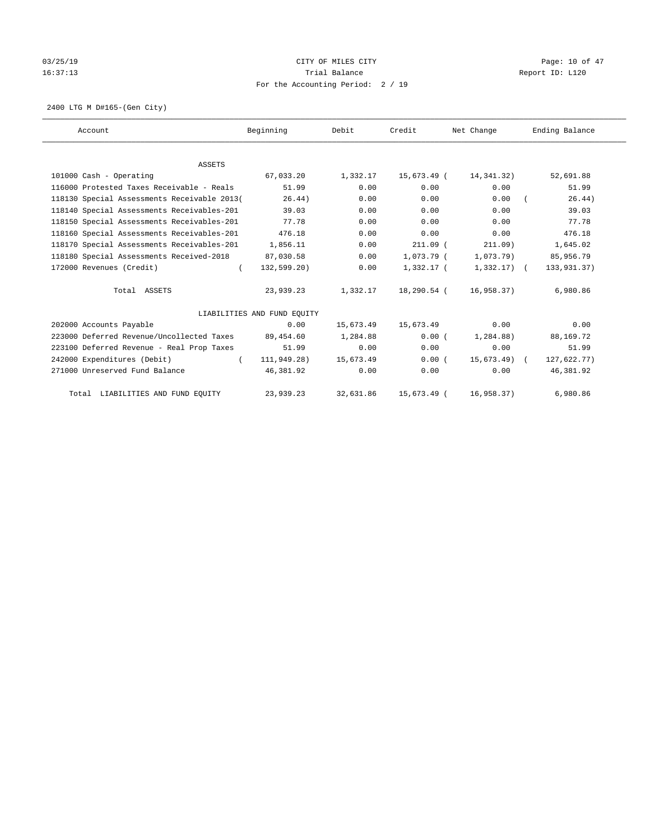# 03/25/19 Page: 10 of 47 16:37:13 Channel Balance Trial Balance Report ID: L120 For the Accounting Period: 2 / 19

2400 LTG M D#165-(Gen City)

| Account                                     | Beginning                   | Debit     | Credit       | Net Change     | Ending Balance |
|---------------------------------------------|-----------------------------|-----------|--------------|----------------|----------------|
|                                             |                             |           |              |                |                |
| <b>ASSETS</b>                               |                             |           |              |                |                |
| 101000 Cash - Operating                     | 67,033.20                   | 1,332.17  | 15,673.49 (  | 14,341.32)     | 52,691.88      |
| 116000 Protested Taxes Receivable - Reals   | 51.99                       | 0.00      | 0.00         | 0.00           | 51.99          |
| 118130 Special Assessments Receivable 2013( | 26.44)                      | 0.00      | 0.00         | 0.00           | 26.44)         |
| 118140 Special Assessments Receivables-201  | 39.03                       | 0.00      | 0.00         | 0.00           | 39.03          |
| 118150 Special Assessments Receivables-201  | 77.78                       | 0.00      | 0.00         | 0.00           | 77.78          |
| 118160 Special Assessments Receivables-201  | 476.18                      | 0.00      | 0.00         | 0.00           | 476.18         |
| 118170 Special Assessments Receivables-201  | 1,856.11                    | 0.00      | $211.09$ (   | 211.09)        | 1,645.02       |
| 118180 Special Assessments Received-2018    | 87,030.58                   | 0.00      | $1.073.79$ ( | $1,073.79$ )   | 85,956.79      |
| 172000 Revenues (Credit)<br>$\left($        | 132,599.20)                 | 0.00      | $1,332.17$ ( | $1,332.17$ ) ( | 133,931.37)    |
| Total ASSETS                                | 23,939.23                   | 1,332.17  | 18,290.54 (  | 16,958.37)     | 6,980.86       |
|                                             | LIABILITIES AND FUND EQUITY |           |              |                |                |
| 202000 Accounts Payable                     | 0.00                        | 15,673.49 | 15,673.49    | 0.00           | 0.00           |
| 223000 Deferred Revenue/Uncollected Taxes   | 89,454.60                   | 1,284.88  | 0.00(        | 1,284.88)      | 88,169.72      |
| 223100 Deferred Revenue - Real Prop Taxes   | 51.99                       | 0.00      | 0.00         | 0.00           | 51.99          |
| 242000 Expenditures (Debit)<br>$\left($     | 111,949.28)                 | 15,673.49 | 0.00(        | 15,673.49) (   | 127,622.77)    |
| 271000 Unreserved Fund Balance              | 46,381.92                   | 0.00      | 0.00         | 0.00           | 46,381.92      |
| Total LIABILITIES AND FUND EQUITY           | 23,939.23                   | 32,631.86 | 15,673.49 (  | 16,958.37)     | 6,980.86       |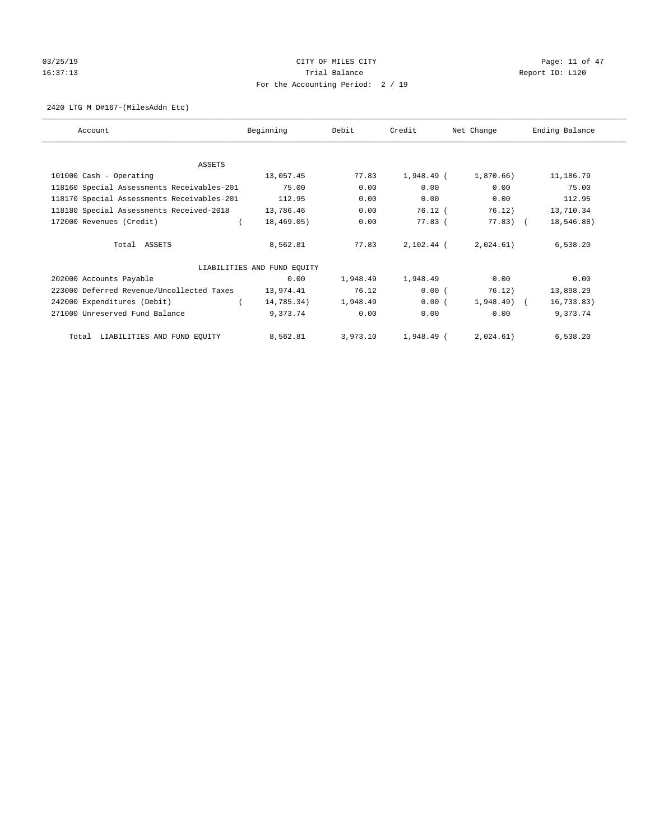# $CITY$  OF MILES  $CITY$  and the contract of  $47$ 16:37:13 Channel Balance Trial Balance Report ID: L120 For the Accounting Period: 2 / 19

#### 2420 LTG M D#167-(MilesAddn Etc)

| Account                                    | Beginning                   | Debit    | Credit     | Net Change   | Ending Balance |
|--------------------------------------------|-----------------------------|----------|------------|--------------|----------------|
|                                            |                             |          |            |              |                |
|                                            |                             |          |            |              |                |
| ASSETS                                     |                             |          |            |              |                |
| 101000 Cash - Operating                    | 13,057.45                   | 77.83    | 1,948.49 ( | 1,870.66)    | 11,186.79      |
| 118160 Special Assessments Receivables-201 | 75.00                       | 0.00     | 0.00       | 0.00         | 75.00          |
| 118170 Special Assessments Receivables-201 | 112.95                      | 0.00     | 0.00       | 0.00         | 112.95         |
| 118180 Special Assessments Received-2018   | 13,786.46                   | 0.00     | 76.12 (    | 76.12)       | 13,710.34      |
| 172000 Revenues (Credit)                   | 18,469.05)                  | 0.00     | 77.83 (    | 77.83) (     | 18,546.88)     |
|                                            |                             |          |            |              |                |
| Total ASSETS                               | 8,562.81                    | 77.83    | 2,102.44 ( | 2,024.61)    | 6,538.20       |
|                                            |                             |          |            |              |                |
|                                            | LIABILITIES AND FUND EQUITY |          |            |              |                |
| 202000 Accounts Payable                    | 0.00                        | 1,948.49 | 1,948.49   | 0.00         | 0.00           |
| 223000 Deferred Revenue/Uncollected Taxes  | 13,974.41                   | 76.12    | 0.00(      | 76.12)       | 13,898.29      |
| 242000 Expenditures (Debit)                | 14,785.34)                  | 1,948.49 | 0.00(      | $1,948.49$ ( | 16, 733.83)    |
| 271000 Unreserved Fund Balance             | 9,373.74                    | 0.00     | 0.00       | 0.00         | 9,373.74       |
|                                            |                             |          |            |              |                |
| Total LIABILITIES AND FUND EQUITY          | 8,562.81                    | 3,973.10 | 1,948.49 ( | 2,024.61)    | 6,538.20       |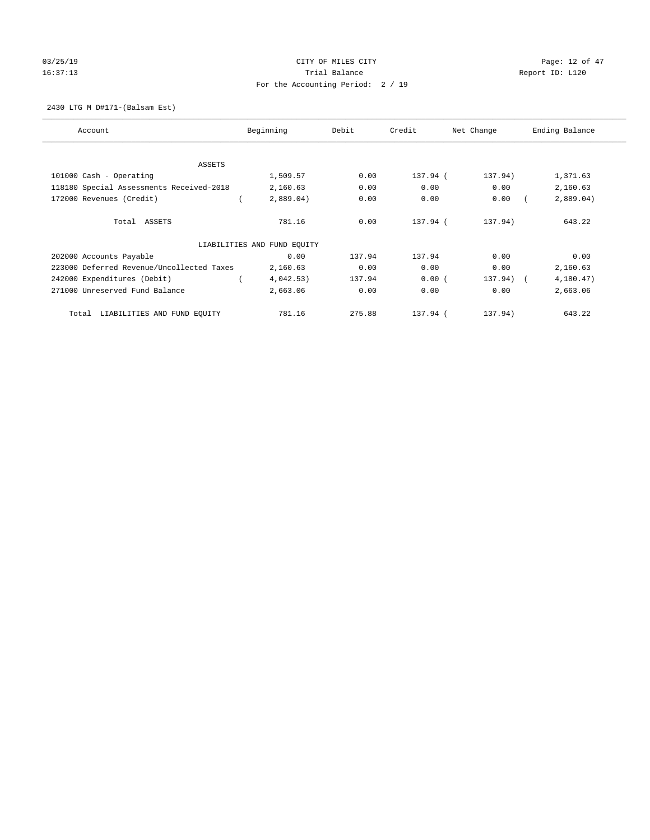# $CITY$  OF MILES  $CITY$  and the contract of  $P3/25/19$  Page: 12 of 47 16:37:13 Channel Balance Trial Balance Report ID: L120 For the Accounting Period: 2 / 19

2430 LTG M D#171-(Balsam Est)

| Account                                   | Beginning                   | Debit  | Credit   | Net Change | Ending Balance |
|-------------------------------------------|-----------------------------|--------|----------|------------|----------------|
| ASSETS                                    |                             |        |          |            |                |
| 101000 Cash - Operating                   | 1,509.57                    | 0.00   | 137.94 ( | 137.94)    | 1,371.63       |
| 118180 Special Assessments Received-2018  | 2,160.63                    | 0.00   | 0.00     | 0.00       | 2,160.63       |
| 172000 Revenues (Credit)                  | 2,889.04)                   | 0.00   | 0.00     | 0.00       | 2,889.04)      |
| Total ASSETS                              | 781.16                      | 0.00   | 137.94 ( | 137.94)    | 643.22         |
|                                           | LIABILITIES AND FUND EQUITY |        |          |            |                |
| 202000 Accounts Payable                   | 0.00                        | 137.94 | 137.94   | 0.00       | 0.00           |
| 223000 Deferred Revenue/Uncollected Taxes | 2,160.63                    | 0.00   | 0.00     | 0.00       | 2,160.63       |
| 242000 Expenditures (Debit)               | 4,042.53)                   | 137.94 | 0.00(    | 137.94) (  | 4,180.47)      |
| 271000 Unreserved Fund Balance            | 2,663.06                    | 0.00   | 0.00     | 0.00       | 2,663.06       |
| LIABILITIES AND FUND EQUITY<br>Total      | 781.16                      | 275.88 | 137.94 ( | 137.94)    | 643.22         |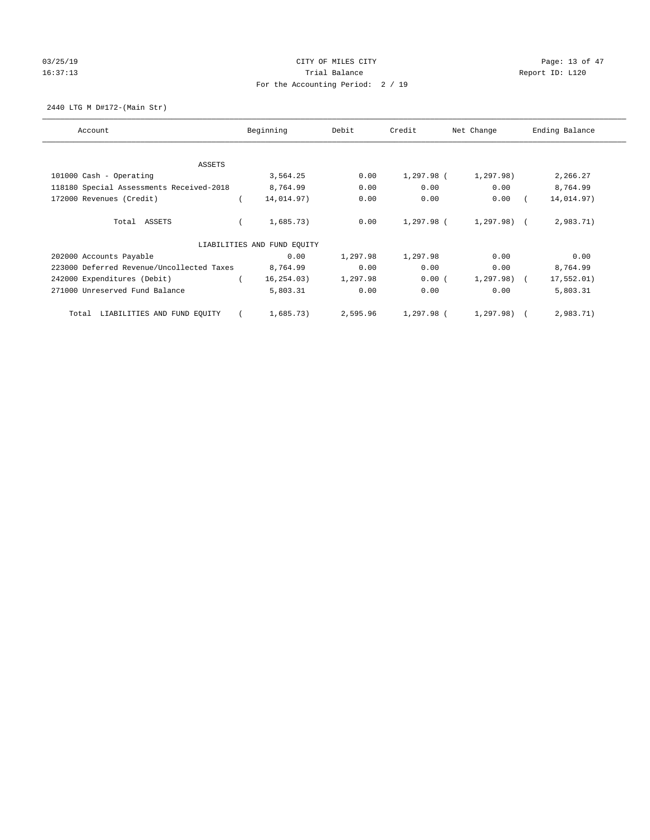# 03/25/19 Page: 13 of 47 16:37:13 Channel Balance Trial Balance Report ID: L120 For the Accounting Period: 2 / 19

2440 LTG M D#172-(Main Str)

| Account                                   | Beginning                   | Debit    | Credit     | Net Change   | Ending Balance |
|-------------------------------------------|-----------------------------|----------|------------|--------------|----------------|
| ASSETS                                    |                             |          |            |              |                |
| 101000 Cash - Operating                   | 3,564.25                    | 0.00     | 1,297.98 ( | 1,297.98)    | 2,266.27       |
| 118180 Special Assessments Received-2018  | 8,764.99                    | 0.00     | 0.00       | 0.00         | 8,764.99       |
| 172000 Revenues (Credit)                  | 14,014.97)                  | 0.00     | 0.00       | 0.00         | 14,014.97)     |
| Total ASSETS                              | 1,685.73)                   | 0.00     | 1,297.98 ( | 1,297.98) (  | 2,983.71)      |
|                                           | LIABILITIES AND FUND EQUITY |          |            |              |                |
| 202000 Accounts Payable                   | 0.00                        | 1,297.98 | 1,297.98   | 0.00         | 0.00           |
| 223000 Deferred Revenue/Uncollected Taxes | 8,764.99                    | 0.00     | 0.00       | 0.00         | 8,764.99       |
| 242000 Expenditures (Debit)               | 16, 254.03)                 | 1,297.98 | 0.00(      | $1,297.98$ ( | 17,552.01)     |
| 271000 Unreserved Fund Balance            | 5,803.31                    | 0.00     | 0.00       | 0.00         | 5,803.31       |
| LIABILITIES AND FUND EQUITY<br>Total      | 1,685.73)                   | 2,595.96 | 1,297.98 ( | 1,297.98)    | 2,983.71)      |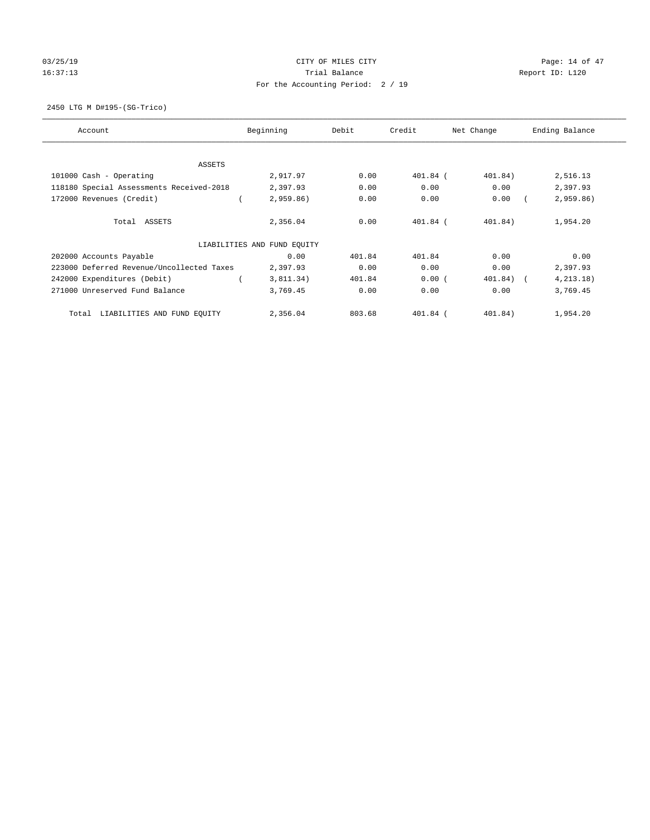# 03/25/19 Page: 14 of 47 16:37:13 Channel Balance Trial Balance Report ID: L120 For the Accounting Period: 2 / 19

2450 LTG M D#195-(SG-Trico)

| Account                                   | Beginning                   | Debit  | Credit     | Net Change  | Ending Balance |
|-------------------------------------------|-----------------------------|--------|------------|-------------|----------------|
| ASSETS                                    |                             |        |            |             |                |
| 101000 Cash - Operating                   | 2,917.97                    | 0.00   | $401.84$ ( | 401.84)     | 2,516.13       |
| 118180 Special Assessments Received-2018  | 2,397.93                    | 0.00   | 0.00       | 0.00        | 2,397.93       |
| 172000 Revenues (Credit)                  | $2,959.86$ )                | 0.00   | 0.00       | 0.00        | 2,959.86)      |
| Total ASSETS                              | 2,356.04                    | 0.00   | $401.84$ ( | 401.84)     | 1,954.20       |
|                                           | LIABILITIES AND FUND EQUITY |        |            |             |                |
| 202000 Accounts Payable                   | 0.00                        | 401.84 | 401.84     | 0.00        | 0.00           |
| 223000 Deferred Revenue/Uncollected Taxes | 2,397.93                    | 0.00   | 0.00       | 0.00        | 2,397.93       |
| 242000 Expenditures (Debit)               | 3,811.34)                   | 401.84 | 0.00(      | $401.84)$ ( | 4, 213, 18)    |
| 271000 Unreserved Fund Balance            | 3,769.45                    | 0.00   | 0.00       | 0.00        | 3,769.45       |
| LIABILITIES AND FUND EQUITY<br>Total      | 2,356.04                    | 803.68 | $401.84$ ( | 401.84)     | 1,954.20       |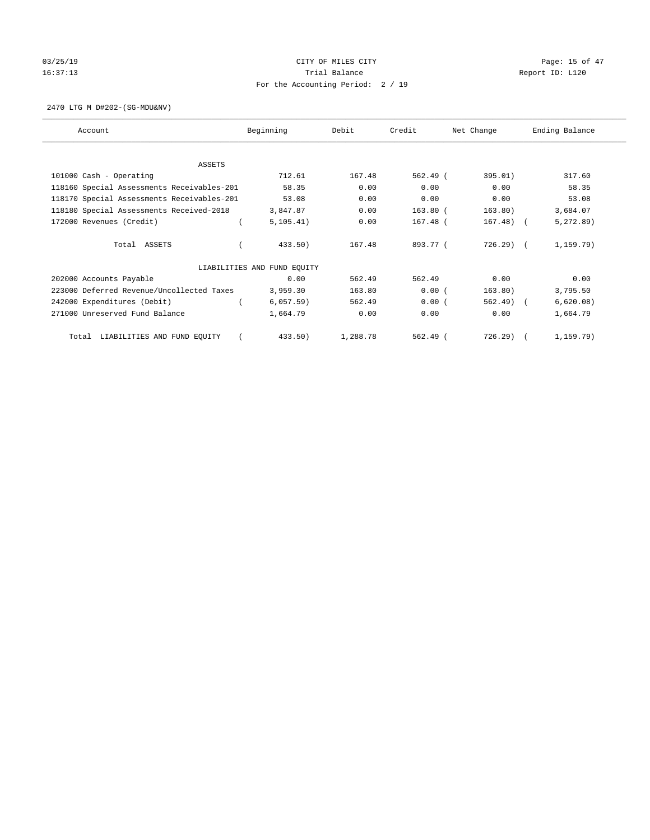# $CITY$  OF MILES  $CITY$  and the contract of  $47$ 16:37:13 Channel Balance Trial Balance Report ID: L120 For the Accounting Period: 2 / 19

2470 LTG M D#202-(SG-MDU&NV)

| Account                                    | Beginning                   | Debit    | Credit     | Net Change   | Ending Balance |
|--------------------------------------------|-----------------------------|----------|------------|--------------|----------------|
|                                            |                             |          |            |              |                |
| ASSETS                                     |                             |          |            |              |                |
| 101000 Cash - Operating                    | 712.61                      | 167.48   | $562.49$ ( | 395.01)      | 317.60         |
| 118160 Special Assessments Receivables-201 | 58.35                       | 0.00     | 0.00       | 0.00         | 58.35          |
| 118170 Special Assessments Receivables-201 | 53.08                       | 0.00     | 0.00       | 0.00         | 53.08          |
| 118180 Special Assessments Received-2018   | 3,847.87                    | 0.00     | $163.80$ ( | 163.80)      | 3,684.07       |
| 172000 Revenues (Credit)                   | 5, 105.41)                  | 0.00     | $167.48$ ( | $167.48$ ) ( | 5, 272.89)     |
| Total ASSETS                               | 433.50)                     | 167.48   | 893.77 (   | $726.29$ (   | 1, 159.79)     |
|                                            | LIABILITIES AND FUND EQUITY |          |            |              |                |
| 202000 Accounts Payable                    | 0.00                        | 562.49   | 562.49     | 0.00         | 0.00           |
| 223000 Deferred Revenue/Uncollected Taxes  | 3,959.30                    | 163.80   | 0.00(      | 163.80)      | 3,795.50       |
| 242000 Expenditures (Debit)                | 6,057.59)                   | 562.49   | 0.00(      | $562.49$ (   | 6,620.08)      |
| 271000 Unreserved Fund Balance             | 1,664.79                    | 0.00     | 0.00       | 0.00         | 1,664.79       |
| LIABILITIES AND FUND EQUITY<br>Total       | 433.50)                     | 1,288.78 | $562.49$ ( | 726.29)      | 1, 159.79)     |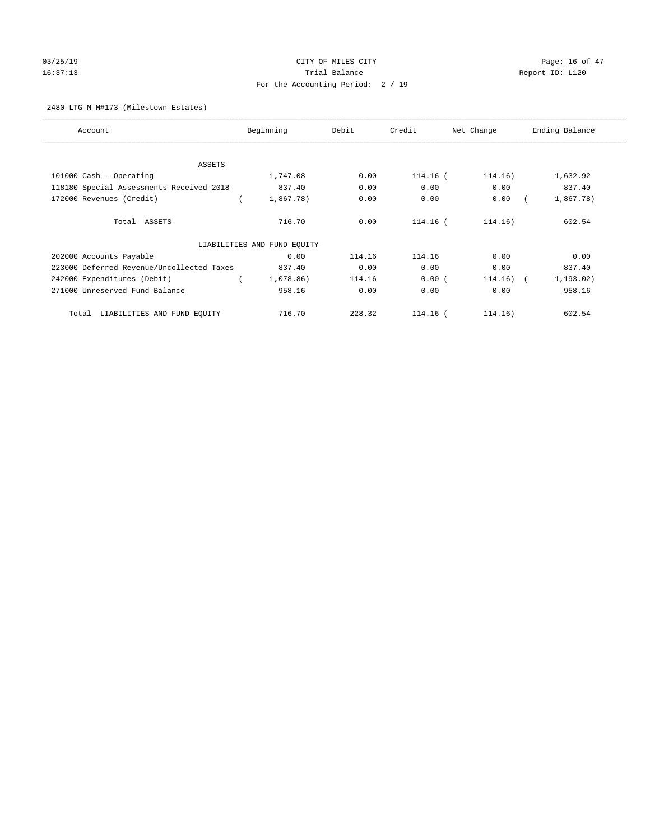# 03/25/19 Page: 16 of 47 16:37:13 Channel Balance Trial Balance Report ID: L120 For the Accounting Period: 2 / 19

## 2480 LTG M M#173-(Milestown Estates)

| Account                                   | Beginning                   | Debit  | Credit   | Net Change  | Ending Balance |
|-------------------------------------------|-----------------------------|--------|----------|-------------|----------------|
|                                           |                             |        |          |             |                |
| <b>ASSETS</b>                             |                             |        |          |             |                |
| 101000 Cash - Operating                   | 1,747.08                    | 0.00   | 114.16 ( | 114.16)     | 1,632.92       |
| 118180 Special Assessments Received-2018  | 837.40                      | 0.00   | 0.00     | 0.00        | 837.40         |
| 172000 Revenues (Credit)                  | 1,867.78)                   | 0.00   | 0.00     | 0.00        | 1,867.78)      |
| Total ASSETS                              | 716.70                      | 0.00   | 114.16 ( | 114.16)     | 602.54         |
|                                           | LIABILITIES AND FUND EQUITY |        |          |             |                |
| 202000 Accounts Payable                   | 0.00                        | 114.16 | 114.16   | 0.00        | 0.00           |
| 223000 Deferred Revenue/Uncollected Taxes | 837.40                      | 0.00   | 0.00     | 0.00        | 837.40         |
| 242000 Expenditures (Debit)               | 1,078.86)                   | 114.16 | 0.00(    | $114.16)$ ( | 1, 193.02)     |
| 271000 Unreserved Fund Balance            | 958.16                      | 0.00   | 0.00     | 0.00        | 958.16         |
| LIABILITIES AND FUND EQUITY<br>Total      | 716.70                      | 228.32 | 114.16 ( | 114.16)     | 602.54         |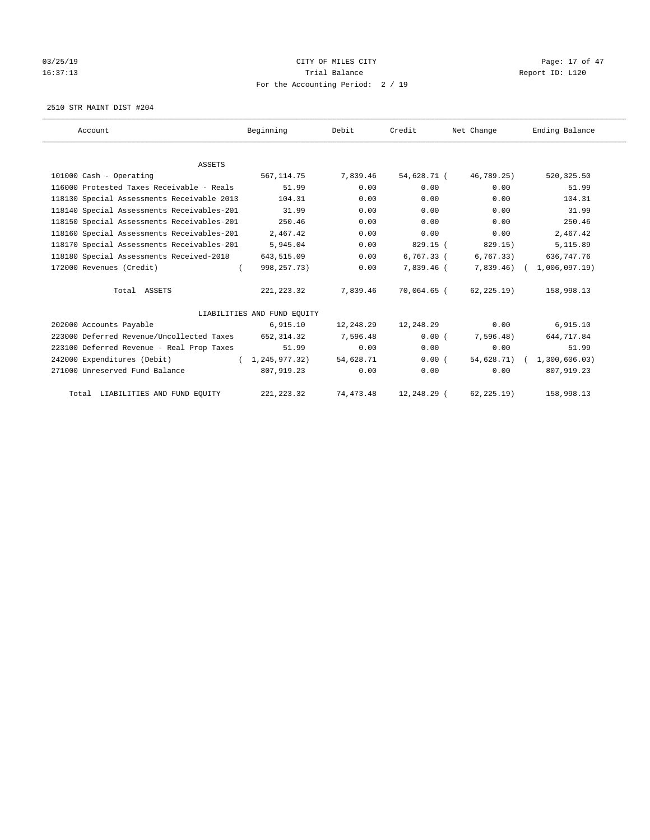# 03/25/19 Page: 17 of 47 16:37:13 Channel Balance Trial Balance Report ID: L120 For the Accounting Period: 2 / 19

2510 STR MAINT DIST #204

| Account                                    | Beginning                   | Debit       | Credit       | Net Change  | Ending Balance             |
|--------------------------------------------|-----------------------------|-------------|--------------|-------------|----------------------------|
|                                            |                             |             |              |             |                            |
| <b>ASSETS</b>                              |                             |             |              |             |                            |
| 101000 Cash - Operating                    | 567, 114.75                 | 7.839.46    | 54,628.71 (  | 46,789.25)  | 520, 325.50                |
| 116000 Protested Taxes Receivable - Reals  | 51.99                       | 0.00        | 0.00         | 0.00        | 51.99                      |
| 118130 Special Assessments Receivable 2013 | 104.31                      | 0.00        | 0.00         | 0.00        | 104.31                     |
| 118140 Special Assessments Receivables-201 | 31.99                       | 0.00        | 0.00         | 0.00        | 31.99                      |
| 118150 Special Assessments Receivables-201 | 250.46                      | 0.00        | 0.00         | 0.00        | 250.46                     |
| 118160 Special Assessments Receivables-201 | 2,467.42                    | 0.00        | 0.00         | 0.00        | 2,467.42                   |
| 118170 Special Assessments Receivables-201 | 5,945.04                    | 0.00        | 829.15 (     | 829.15)     | 5,115.89                   |
| 118180 Special Assessments Received-2018   | 643,515.09                  | 0.00        | $6.767.33$ ( | 6, 767.33)  | 636,747.76                 |
| 172000 Revenues (Credit)<br>$\left($       | 998, 257. 73)               | 0.00        | 7,839.46 (   | 7,839.46)   | 1,006,097.19               |
| Total ASSETS                               | 221, 223.32                 | 7,839.46    | 70,064.65 (  | 62,225.19)  | 158,998.13                 |
|                                            | LIABILITIES AND FUND EQUITY |             |              |             |                            |
| 202000 Accounts Payable                    | 6,915.10                    | 12,248.29   | 12,248.29    | 0.00        | 6,915.10                   |
| 223000 Deferred Revenue/Uncollected Taxes  | 652,314.32                  | 7,596.48    | 0.00(        | 7,596.48)   | 644,717.84                 |
| 223100 Deferred Revenue - Real Prop Taxes  | 51.99                       | 0.00        | 0.00         | 0.00        | 51.99                      |
| 242000 Expenditures (Debit)                | (1, 245, 977, 32)           | 54,628.71   | 0.00(        |             | 54,628.71) ( 1,300,606.03) |
| 271000 Unreserved Fund Balance             | 807,919.23                  | 0.00        | 0.00         | 0.00        | 807,919.23                 |
| Total LIABILITIES AND FUND EQUITY          | 221, 223.32                 | 74, 473. 48 | 12,248.29 (  | 62, 225.19) | 158,998.13                 |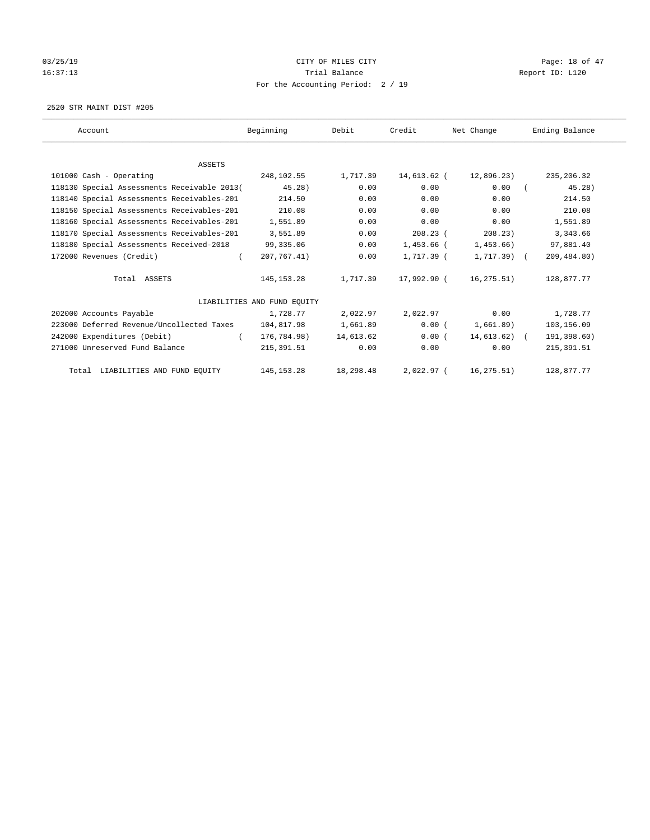# 03/25/19 Page: 18 of 47 16:37:13 Channel Balance Trial Balance Report ID: L120 For the Accounting Period: 2 / 19

2520 STR MAINT DIST #205

| Account                                     | Beginning                   | Debit     | Credit       | Net Change    | Ending Balance |
|---------------------------------------------|-----------------------------|-----------|--------------|---------------|----------------|
|                                             |                             |           |              |               |                |
| <b>ASSETS</b>                               |                             |           |              |               |                |
| 101000 Cash - Operating                     | 248,102.55                  | 1,717.39  | 14,613.62 (  | 12,896.23)    | 235, 206.32    |
| 118130 Special Assessments Receivable 2013( | 45.28)                      | 0.00      | 0.00         | 0.00          | 45.28)         |
| 118140 Special Assessments Receivables-201  | 214.50                      | 0.00      | 0.00         | 0.00          | 214.50         |
| 118150 Special Assessments Receivables-201  | 210.08                      | 0.00      | 0.00         | 0.00          | 210.08         |
| 118160 Special Assessments Receivables-201  | 1,551.89                    | 0.00      | 0.00         | 0.00          | 1,551.89       |
| 118170 Special Assessments Receivables-201  | 3,551.89                    | 0.00      | $208.23$ (   | 208.23)       | 3,343.66       |
| 118180 Special Assessments Received-2018    | 99,335.06                   | 0.00      | 1,453.66 (   | 1,453.66)     | 97,881.40      |
| 172000 Revenues (Credit)<br>$\left($        | 207, 767.41)                | 0.00      | 1,717.39 (   | $1,717.39$ (  | 209,484.80)    |
| Total ASSETS                                | 145, 153. 28                | 1,717.39  | 17,992.90 (  | 16,275.51)    | 128,877.77     |
|                                             | LIABILITIES AND FUND EQUITY |           |              |               |                |
| 202000 Accounts Payable                     | 1,728.77                    | 2,022.97  | 2,022.97     | 0.00          | 1,728.77       |
| 223000 Deferred Revenue/Uncollected Taxes   | 104,817.98                  | 1,661.89  | 0.00(        | 1,661.89)     | 103,156.09     |
| 242000 Expenditures (Debit)<br>$\left($     | 176,784.98)                 | 14,613.62 | 0.00(        | $14,613.62$ ( | 191,398.60)    |
| 271000 Unreserved Fund Balance              | 215, 391.51                 | 0.00      | 0.00         | 0.00          | 215, 391.51    |
| Total LIABILITIES AND FUND EQUITY           | 145, 153. 28                | 18,298.48 | $2,022.97$ ( | 16, 275.51)   | 128,877.77     |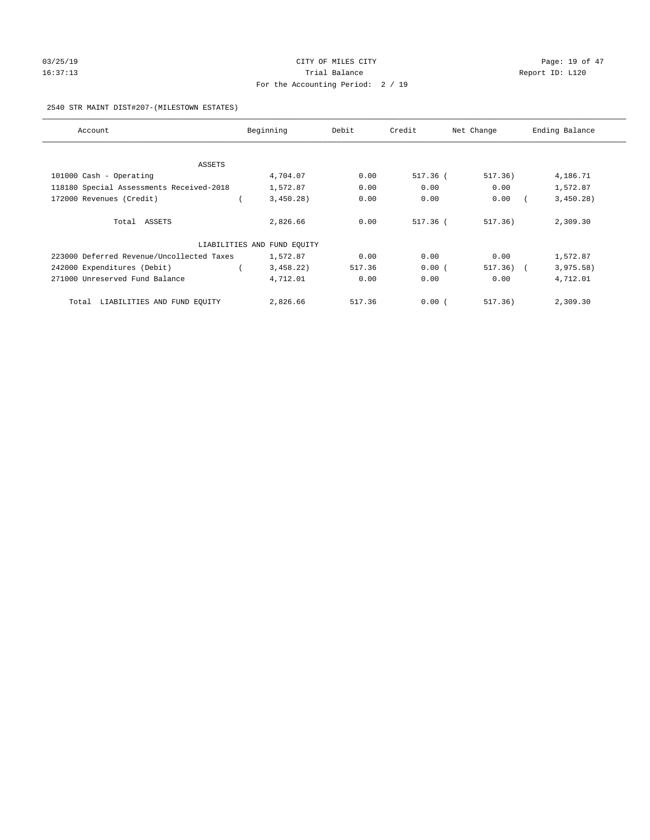# 03/25/19 Page: 19 of 47 16:37:13 Channel Balance Trial Balance Report ID: L120 For the Accounting Period: 2 / 19

### 2540 STR MAINT DIST#207-(MILESTOWN ESTATES)

| Account                                   | Beginning                   | Debit  | Credit   | Net Change | Ending Balance |
|-------------------------------------------|-----------------------------|--------|----------|------------|----------------|
|                                           |                             |        |          |            |                |
| ASSETS                                    |                             |        |          |            |                |
| 101000 Cash - Operating                   | 4,704.07                    | 0.00   | 517.36 ( | 517.36)    | 4,186.71       |
| 118180 Special Assessments Received-2018  | 1,572.87                    | 0.00   | 0.00     | 0.00       | 1,572.87       |
| 172000 Revenues (Credit)                  | 3,450.28)                   | 0.00   | 0.00     | 0.00       | 3,450.28)      |
| Total ASSETS                              | 2,826.66                    | 0.00   | 517.36 ( | 517.36)    | 2,309.30       |
|                                           | LIABILITIES AND FUND EQUITY |        |          |            |                |
| 223000 Deferred Revenue/Uncollected Taxes | 1,572.87                    | 0.00   | 0.00     | 0.00       | 1,572.87       |
| 242000 Expenditures (Debit)               | 3,458.22)                   | 517.36 | 0.00(    | 517.36)    | 3,975.58)      |
| 271000 Unreserved Fund Balance            | 4,712.01                    | 0.00   | 0.00     | 0.00       | 4,712.01       |
| Total LIABILITIES AND FUND EQUITY         | 2,826.66                    | 517.36 | 0.00(    | 517.36)    | 2,309.30       |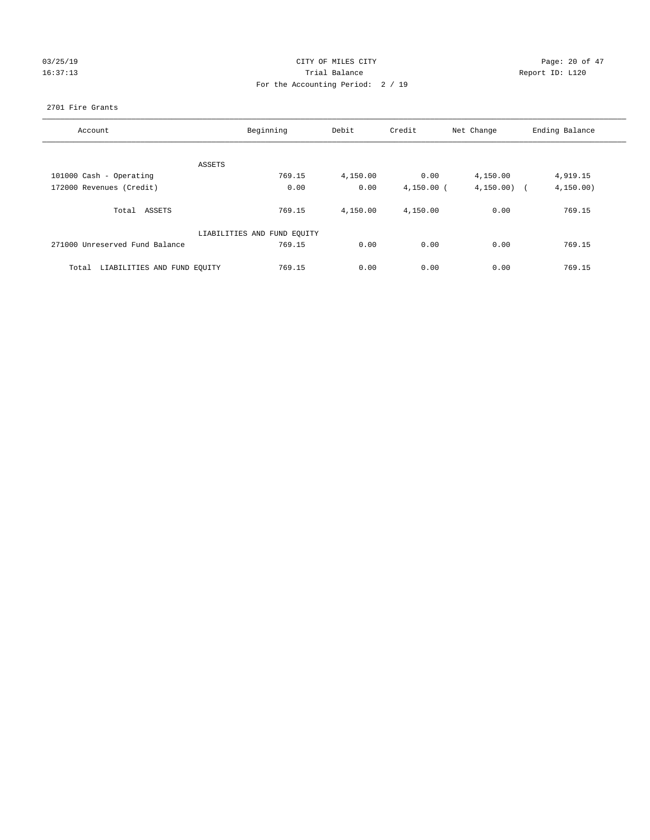# 03/25/19 Page: 20 of 47 16:37:13 Channel Balance Trial Balance Report ID: L120 For the Accounting Period: 2 / 19

### 2701 Fire Grants

| Account                              | Beginning                   |          | Credit       | Net Change               | Ending Balance |
|--------------------------------------|-----------------------------|----------|--------------|--------------------------|----------------|
|                                      |                             |          |              |                          |                |
| ASSETS                               |                             |          |              |                          |                |
| 101000 Cash - Operating              | 769.15                      | 4,150.00 | 0.00         | 4,150.00                 | 4,919.15       |
| 172000 Revenues (Credit)             | 0.00                        | 0.00     | $4,150.00$ ( | 4, 150.00)<br>$\sqrt{2}$ | 4, 150.00)     |
| Total ASSETS                         | 769.15                      | 4,150.00 | 4,150.00     | 0.00                     | 769.15         |
|                                      | LIABILITIES AND FUND EQUITY |          |              |                          |                |
| 271000 Unreserved Fund Balance       | 769.15                      | 0.00     | 0.00         | 0.00                     | 769.15         |
| LIABILITIES AND FUND EQUITY<br>Total | 769.15                      | 0.00     | 0.00         | 0.00                     | 769.15         |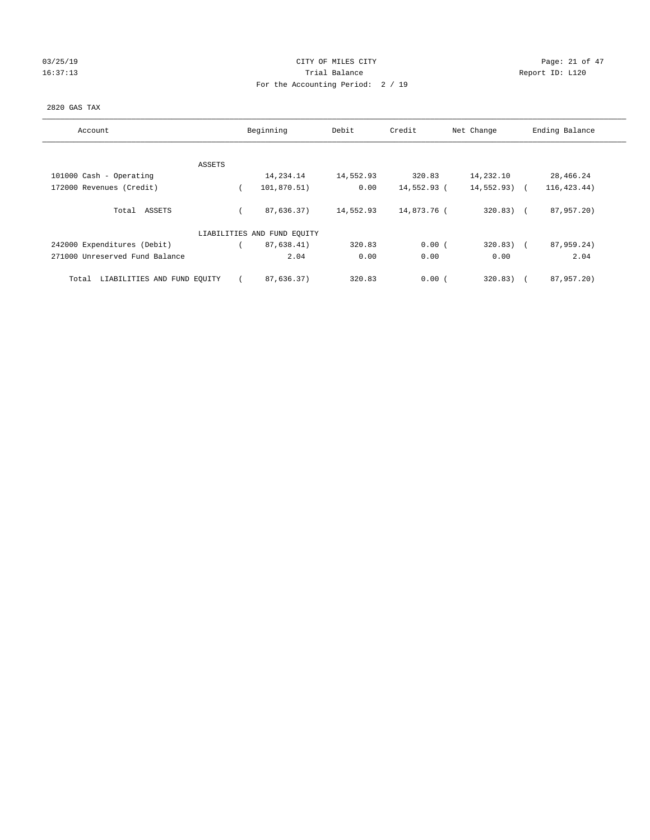# $CITY$  OF MILES  $CITY$  and the contract of  $P3/25/19$  Page: 21 of 47 16:37:13 Channel Balance Trial Balance Report ID: L120 For the Accounting Period: 2 / 19

## 2820 GAS TAX

| Account                              | Beginning                   | Debit     | Credit      | Net Change    | Ending Balance       |
|--------------------------------------|-----------------------------|-----------|-------------|---------------|----------------------|
| ASSETS                               |                             |           |             |               |                      |
| 101000 Cash - Operating              | 14,234.14                   | 14,552.93 | 320.83      | 14,232.10     | 28,466.24            |
| 172000 Revenues (Credit)             | 101,870.51)                 | 0.00      | 14,552.93 ( | $14,552.93$ ( | 116, 423. 44)        |
| Total ASSETS                         | 87,636.37)                  | 14,552.93 | 14,873.76 ( | $320.83)$ (   | 87,957.20)           |
|                                      | LIABILITIES AND FUND EQUITY |           |             |               |                      |
| 242000 Expenditures (Debit)          | 87,638.41)                  | 320.83    | 0.00(       | $320.83$ (    | 87,959.24)           |
| 271000 Unreserved Fund Balance       | 2.04                        | 0.00      | 0.00        | 0.00          | 2.04                 |
| LIABILITIES AND FUND EQUITY<br>Total | 87,636.37)                  | 320.83    | 0.00(       | 320.83)       | 87,957.20)<br>$\sim$ |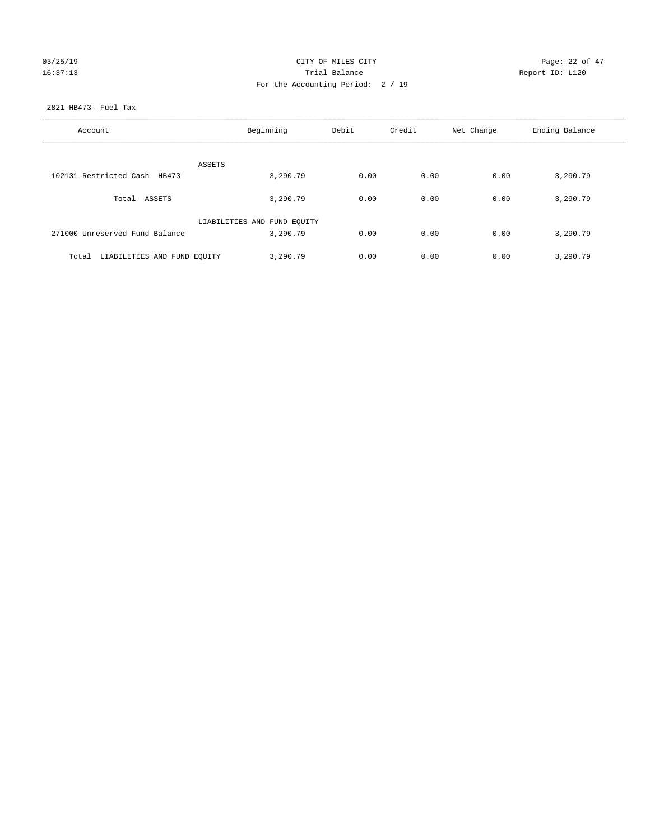# $CITY$  OF MILES  $CITY$  and the contract of  $CITY$  and  $P_0 = P_1 + P_2$  and  $P_1 = P_2 + P_3$  and  $P_2 = P_3 + P_4$  and  $P_3 = P_4$  and  $P_4 = P_5$  and  $P_5 = P_6$  and  $P_6 = P_7$  and  $P_7 = P_6$  and  $P_8 = P_7$  and  $P_9 = P_7$  and  $P_8 = P_8$  and  $P_9 = P_$ 16:37:13 Channel Balance Trial Balance Report ID: L120 For the Accounting Period: 2 / 19

### 2821 HB473- Fuel Tax

| Account                           | Beginning                   | Debit | Credit | Net Change | Ending Balance |
|-----------------------------------|-----------------------------|-------|--------|------------|----------------|
| <b>ASSETS</b>                     |                             |       |        |            |                |
| 102131 Restricted Cash- HB473     | 3,290.79                    | 0.00  | 0.00   | 0.00       | 3,290.79       |
| Total ASSETS                      | 3,290.79                    | 0.00  | 0.00   | 0.00       | 3,290.79       |
|                                   | LIABILITIES AND FUND EQUITY |       |        |            |                |
| 271000 Unreserved Fund Balance    | 3,290.79                    | 0.00  | 0.00   | 0.00       | 3,290.79       |
| Total LIABILITIES AND FUND EOUITY | 3,290.79                    | 0.00  | 0.00   | 0.00       | 3,290.79       |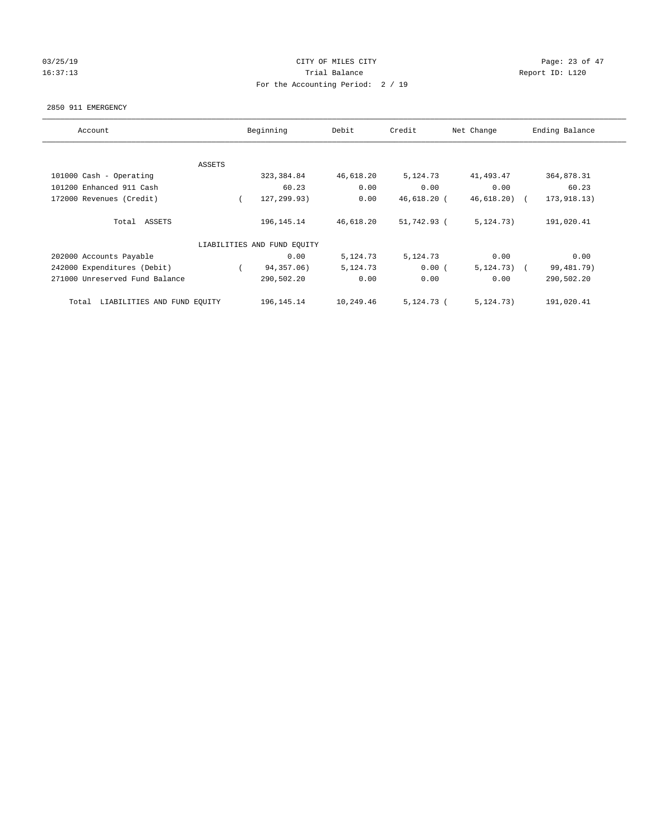## 03/25/19 Page: 23 of 47 16:37:13 Channel Balance Trial Balance Report ID: L120 For the Accounting Period: 2 / 19

#### 2850 911 EMERGENCY

| Account                              |          | Beginning                   | Debit     | Credit       | Net Change   | Ending Balance |
|--------------------------------------|----------|-----------------------------|-----------|--------------|--------------|----------------|
|                                      |          |                             |           |              |              |                |
|                                      | ASSETS   |                             |           |              |              |                |
| 101000 Cash - Operating              |          | 323, 384.84                 | 46,618.20 | 5,124.73     | 41,493.47    | 364,878.31     |
| 101200 Enhanced 911 Cash             |          | 60.23                       | 0.00      | 0.00         | 0.00         | 60.23          |
| 172000 Revenues (Credit)             | $\left($ | 127,299.93)                 | 0.00      | 46,618.20 (  | 46,618.20)   | 173, 918.13)   |
| Total ASSETS                         |          | 196, 145. 14                | 46,618.20 | 51,742.93 (  | 5, 124, 73)  | 191,020.41     |
|                                      |          | LIABILITIES AND FUND EQUITY |           |              |              |                |
| 202000 Accounts Payable              |          | 0.00                        | 5,124.73  | 5,124.73     | 0.00         | 0.00           |
| 242000 Expenditures (Debit)          |          | 94,357.06)                  | 5,124.73  | 0.00(        | $5,124.73$ ( | 99, 481. 79)   |
| 271000 Unreserved Fund Balance       |          | 290,502.20                  | 0.00      | 0.00         | 0.00         | 290,502.20     |
| LIABILITIES AND FUND EQUITY<br>Total |          | 196, 145. 14                | 10,249.46 | $5,124.73$ ( | 5, 124.73)   | 191,020.41     |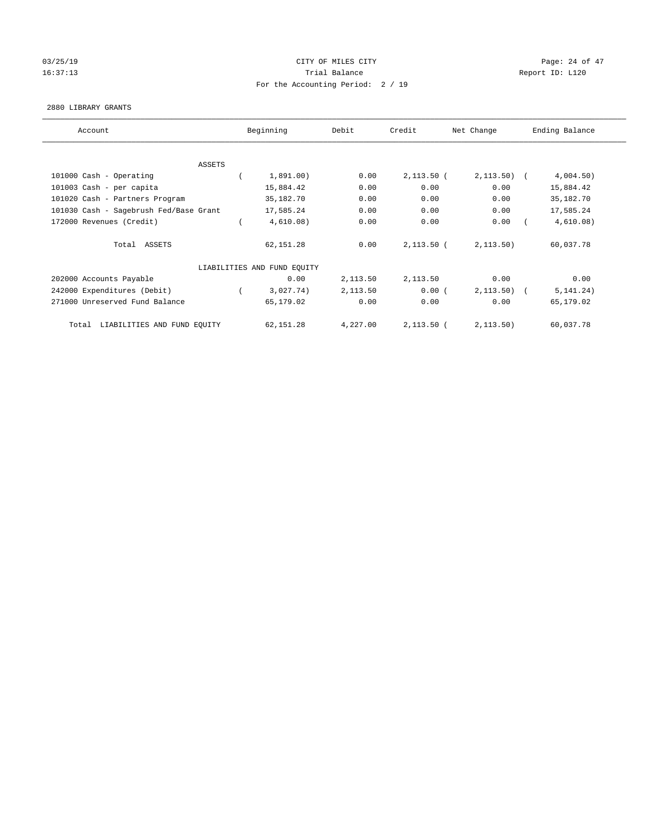# 03/25/19 Page: 24 of 47 16:37:13 Channel Balance Trial Balance Report ID: L120 For the Accounting Period: 2 / 19

#### 2880 LIBRARY GRANTS

| Account                                | Beginning                   | Debit    | Credit       | Net Change    | Ending Balance |
|----------------------------------------|-----------------------------|----------|--------------|---------------|----------------|
|                                        |                             |          |              |               |                |
| ASSETS                                 |                             |          |              |               |                |
| 101000 Cash - Operating                | 1,891.00)                   | 0.00     | $2,113.50$ ( | $2, 113.50$ ( | 4,004.50)      |
| 101003 Cash - per capita               | 15,884.42                   | 0.00     | 0.00         | 0.00          | 15,884.42      |
| 101020 Cash - Partners Program         | 35,182.70                   | 0.00     | 0.00         | 0.00          | 35,182.70      |
| 101030 Cash - Sagebrush Fed/Base Grant | 17,585.24                   | 0.00     | 0.00         | 0.00          | 17,585.24      |
| 172000 Revenues (Credit)               | 4,610.08)                   | 0.00     | 0.00         | 0.00          | 4,610.08)      |
| Total ASSETS                           | 62,151.28                   | 0.00     | $2,113.50$ ( | 2, 113.50)    | 60,037.78      |
|                                        | LIABILITIES AND FUND EQUITY |          |              |               |                |
| 202000 Accounts Payable                | 0.00                        | 2,113.50 | 2,113.50     | 0.00          | 0.00           |
| 242000 Expenditures (Debit)            | 3,027.74)                   | 2,113.50 | 0.00(        | $2,113.50$ (  | 5, 141.24)     |
| 271000 Unreserved Fund Balance         | 65,179.02                   | 0.00     | 0.00         | 0.00          | 65,179.02      |
| LIABILITIES AND FUND EQUITY<br>Total   | 62,151.28                   | 4,227.00 | $2,113.50$ ( | 2, 113.50)    | 60,037.78      |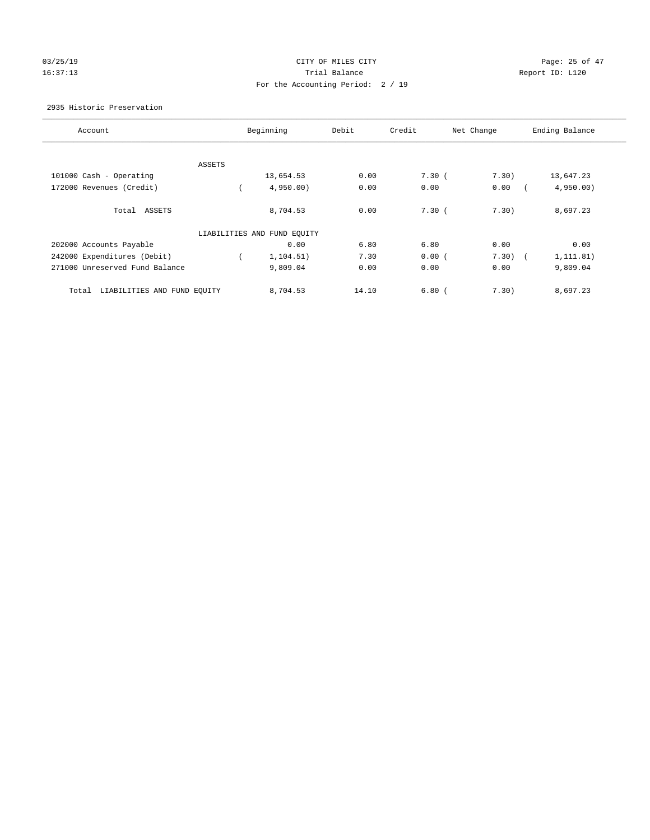# 03/25/19 Page: 25 of 47 16:37:13 **Trial Balance Trial Balance Report ID:** L120 For the Accounting Period: 2 / 19

## 2935 Historic Preservation

| Account                              |        | Beginning                   | Debit | Credit | Net Change | Ending Balance |
|--------------------------------------|--------|-----------------------------|-------|--------|------------|----------------|
|                                      |        |                             |       |        |            |                |
|                                      | ASSETS |                             |       |        |            |                |
| 101000 Cash - Operating              |        | 13,654.53                   | 0.00  | 7.30(  | 7.30)      | 13,647.23      |
| 172000 Revenues (Credit)             |        | 4,950.00                    | 0.00  | 0.00   | 0.00       | 4,950.00       |
| Total ASSETS                         |        | 8,704.53                    | 0.00  | 7.30(  | 7.30)      | 8,697.23       |
|                                      |        | LIABILITIES AND FUND EQUITY |       |        |            |                |
| 202000 Accounts Payable              |        | 0.00                        | 6.80  | 6.80   | 0.00       | 0.00           |
| 242000 Expenditures (Debit)          |        | 1,104.51)                   | 7.30  | 0.00(  | 7.30)      | 1, 111.81)     |
| 271000 Unreserved Fund Balance       |        | 9,809.04                    | 0.00  | 0.00   | 0.00       | 9,809.04       |
| Total<br>LIABILITIES AND FUND EQUITY |        | 8,704.53                    | 14.10 | 6.80(  | 7.30)      | 8,697.23       |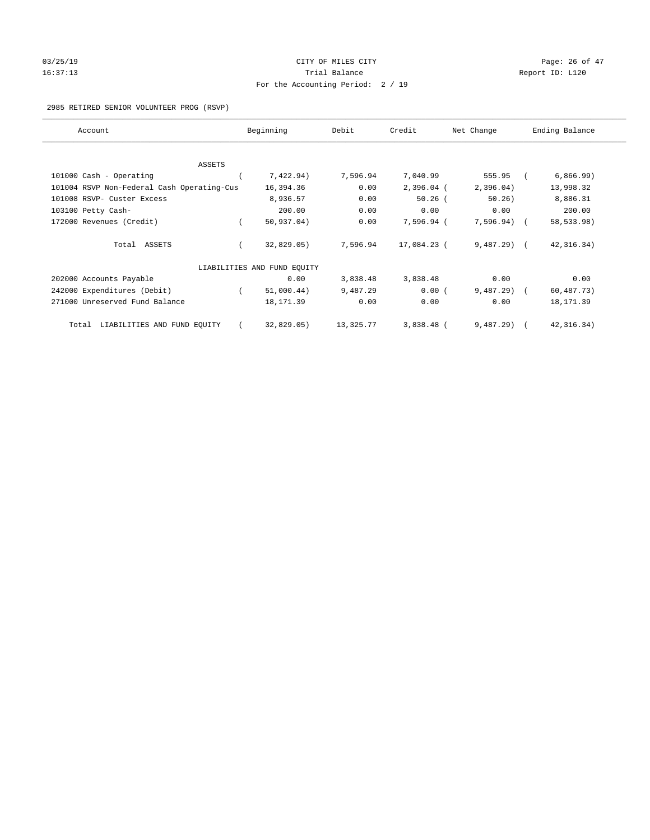# 03/25/19 Page: 26 of 47 16:37:13 Channel Balance Trial Balance Report ID: L120 For the Accounting Period: 2 / 19

2985 RETIRED SENIOR VOLUNTEER PROG (RSVP)

| Account                                    | Beginning                   | Debit     | Credit       | Net Change   | Ending Balance |
|--------------------------------------------|-----------------------------|-----------|--------------|--------------|----------------|
|                                            |                             |           |              |              |                |
| <b>ASSETS</b>                              |                             | 7,596.94  |              | 555.95       |                |
| 101000 Cash - Operating                    | 7,422.94)                   |           | 7,040.99     |              | 6,866.99)      |
| 101004 RSVP Non-Federal Cash Operating-Cus | 16,394.36                   | 0.00      | $2,396.04$ ( | 2,396.04)    | 13,998.32      |
| 101008 RSVP- Custer Excess                 | 8,936.57                    | 0.00      | $50.26$ (    | 50.26)       | 8,886.31       |
| 103100 Petty Cash-                         | 200.00                      | 0.00      | 0.00         | 0.00         | 200.00         |
| 172000 Revenues (Credit)                   | 50, 937.04)                 | 0.00      | 7,596.94 (   | 7,596.94)    | 58,533.98)     |
| Total ASSETS                               | 32,829.05)                  | 7,596.94  | 17,084.23 (  | $9,487.29$ ( | 42, 316.34)    |
|                                            | LIABILITIES AND FUND EQUITY |           |              |              |                |
| 202000 Accounts Payable                    | 0.00                        | 3,838.48  | 3,838.48     | 0.00         | 0.00           |
| 242000 Expenditures (Debit)                | 51,000.44)                  | 9,487.29  | 0.00(        | 9,487.29     | 60,487.73)     |
| 271000 Unreserved Fund Balance             | 18, 171.39                  | 0.00      | 0.00         | 0.00         | 18, 171.39     |
| LIABILITIES AND FUND EQUITY<br>Total       | 32,829.05)                  | 13,325.77 | $3,838.48$ ( | $9,487,29$ ( | 42, 316.34)    |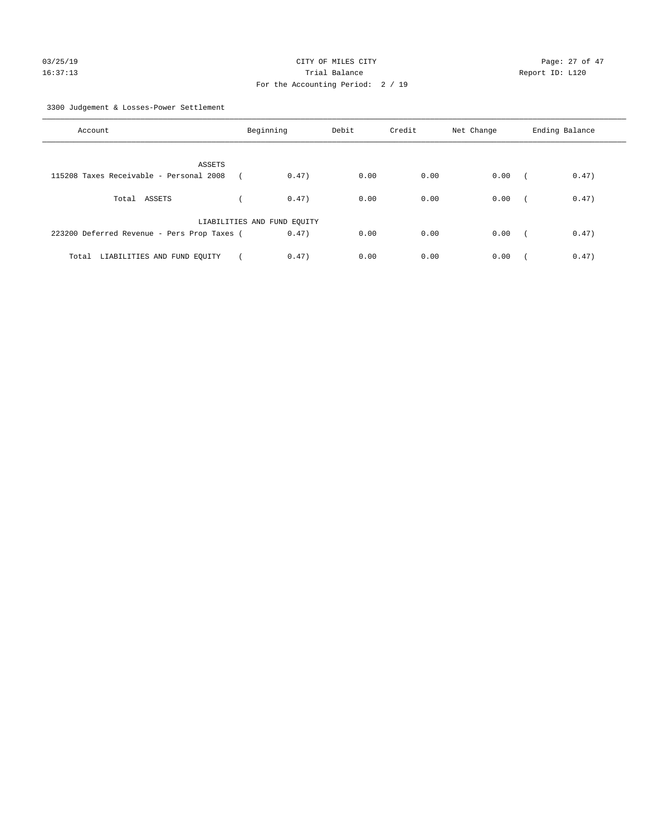3300 Judgement & Losses-Power Settlement

| Account                                     | Beginning                   | Debit | Credit | Net Change | Ending Balance                    |
|---------------------------------------------|-----------------------------|-------|--------|------------|-----------------------------------|
| ASSETS                                      |                             |       |        |            |                                   |
| 115208 Taxes Receivable - Personal 2008     | 0.47)                       | 0.00  | 0.00   | 0.00       | 0.47)<br>$\sqrt{2}$               |
| Total ASSETS                                | 0.47)                       | 0.00  | 0.00   | 0.00       | 0.47)<br>$\sqrt{2}$               |
|                                             | LIABILITIES AND FUND EQUITY |       |        |            |                                   |
| 223200 Deferred Revenue - Pers Prop Taxes ( | 0.47)                       | 0.00  | 0.00   | 0.00       | 0.47)<br>$\overline{\phantom{a}}$ |
| Total LIABILITIES AND FUND EOUITY           | 0.47)                       | 0.00  | 0.00   | 0.00       | 0.47)                             |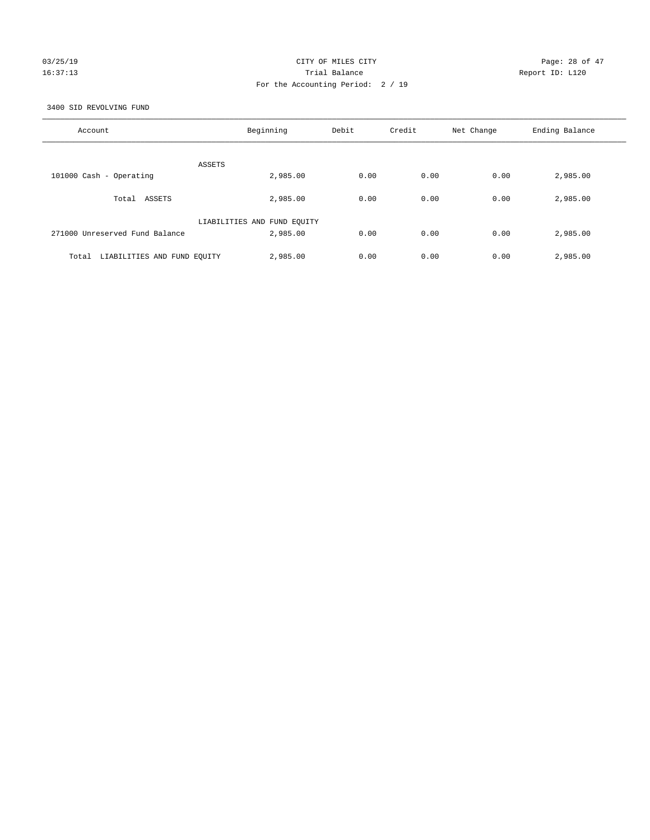## 03/25/19 Page: 28 of 47 16:37:13 Trial Balance Report ID: L120 For the Accounting Period: 2 / 19

3400 SID REVOLVING FUND

| Account                              | Beginning                   | Debit | Credit | Net Change | Ending Balance |
|--------------------------------------|-----------------------------|-------|--------|------------|----------------|
| ASSETS                               |                             |       |        |            |                |
| 101000 Cash - Operating              | 2,985.00                    | 0.00  | 0.00   | 0.00       | 2,985.00       |
| Total ASSETS                         | 2,985.00                    | 0.00  | 0.00   | 0.00       | 2,985.00       |
|                                      | LIABILITIES AND FUND EQUITY |       |        |            |                |
| 271000 Unreserved Fund Balance       | 2,985.00                    | 0.00  | 0.00   | 0.00       | 2,985.00       |
| LIABILITIES AND FUND EQUITY<br>Total | 2,985.00                    | 0.00  | 0.00   | 0.00       | 2,985.00       |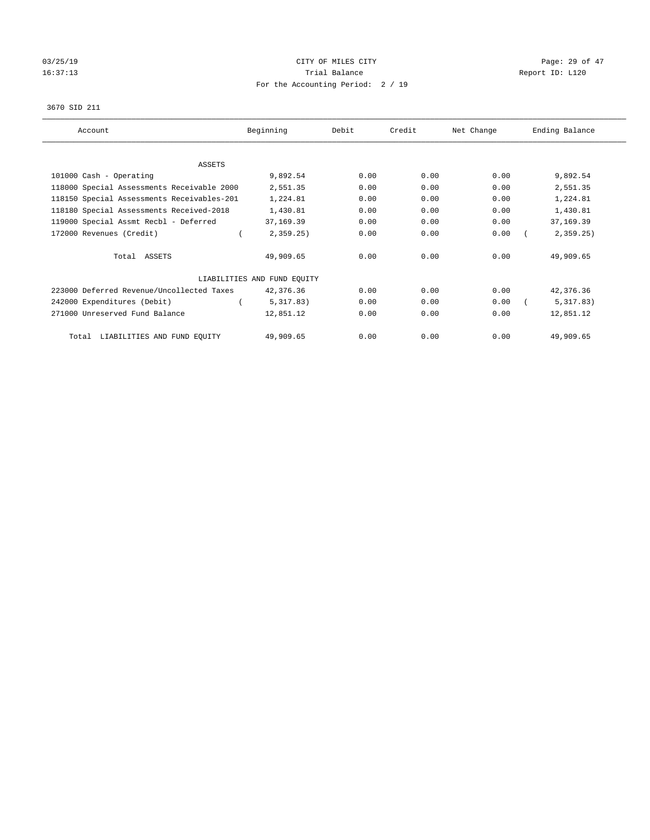# $O3/25/19$  Page: 29 of 47 16:37:13 Channel Balance Trial Balance Report ID: L120 For the Accounting Period: 2 / 19

#### 3670 SID 211

| Account                                    | Beginning                   | Debit | Credit | Net Change | Ending Balance |
|--------------------------------------------|-----------------------------|-------|--------|------------|----------------|
|                                            |                             |       |        |            |                |
| ASSETS                                     |                             |       |        |            |                |
| 101000 Cash - Operating                    | 9,892.54                    | 0.00  | 0.00   | 0.00       | 9,892.54       |
| 118000 Special Assessments Receivable 2000 | 2,551.35                    | 0.00  | 0.00   | 0.00       | 2,551.35       |
| 118150 Special Assessments Receivables-201 | 1,224.81                    | 0.00  | 0.00   | 0.00       | 1,224.81       |
| 118180 Special Assessments Received-2018   | 1,430.81                    | 0.00  | 0.00   | 0.00       | 1,430.81       |
| 119000 Special Assmt Recbl - Deferred      | 37,169.39                   | 0.00  | 0.00   | 0.00       | 37,169.39      |
| 172000 Revenues (Credit)                   | 2,359.25                    | 0.00  | 0.00   | 0.00       | 2,359.25       |
| Total ASSETS                               | 49,909.65                   | 0.00  | 0.00   | 0.00       | 49,909.65      |
|                                            | LIABILITIES AND FUND EQUITY |       |        |            |                |
| 223000 Deferred Revenue/Uncollected Taxes  | 42,376.36                   | 0.00  | 0.00   | 0.00       | 42,376.36      |
| 242000 Expenditures (Debit)                | 5,317.83)                   | 0.00  | 0.00   | 0.00       | 5,317.83)      |
| 271000 Unreserved Fund Balance             | 12,851.12                   | 0.00  | 0.00   | 0.00       | 12,851.12      |
| LIABILITIES AND FUND EQUITY<br>Total       | 49,909.65                   | 0.00  | 0.00   | 0.00       | 49,909.65      |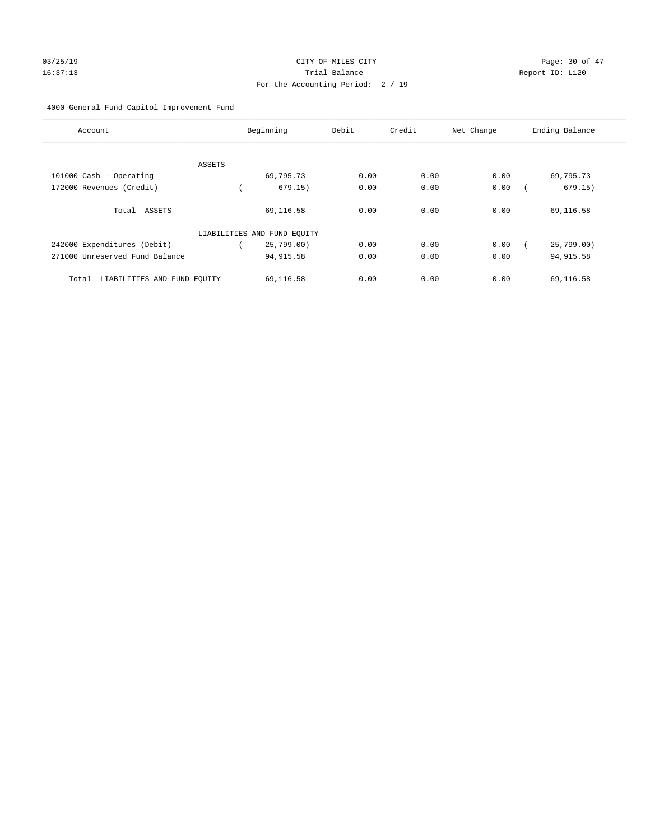## 4000 General Fund Capitol Improvement Fund

| Account                              |        | Beginning                   | Debit | Credit | Net Change | Ending Balance |
|--------------------------------------|--------|-----------------------------|-------|--------|------------|----------------|
|                                      |        |                             |       |        |            |                |
|                                      | ASSETS |                             |       |        |            |                |
| 101000 Cash - Operating              |        | 69,795.73                   | 0.00  | 0.00   | 0.00       | 69,795.73      |
| 172000 Revenues (Credit)             |        | 679.15)                     | 0.00  | 0.00   | 0.00       | 679.15)        |
| Total ASSETS                         |        | 69,116.58                   | 0.00  | 0.00   | 0.00       | 69,116.58      |
|                                      |        | LIABILITIES AND FUND EQUITY |       |        |            |                |
| 242000 Expenditures (Debit)          |        | 25,799.00)                  | 0.00  | 0.00   | 0.00       | 25,799.00      |
| 271000 Unreserved Fund Balance       |        | 94, 915.58                  | 0.00  | 0.00   | 0.00       | 94, 915.58     |
| LIABILITIES AND FUND EQUITY<br>Total |        | 69,116.58                   | 0.00  | 0.00   | 0.00       | 69,116.58      |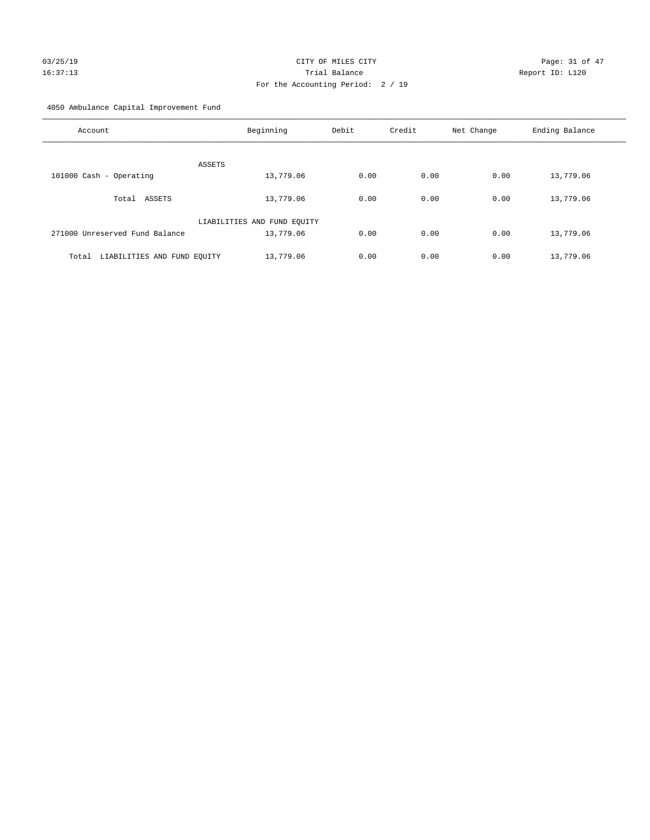# $CITY$  OF MILES  $CITY$  and the contract of  $P47$ 16:37:13 Trial Balance Report ID: L120 For the Accounting Period: 2 / 19

4050 Ambulance Capital Improvement Fund

| Account                              | Beginning                   | Debit | Credit | Net Change | Ending Balance |
|--------------------------------------|-----------------------------|-------|--------|------------|----------------|
| <b>ASSETS</b>                        |                             |       |        |            |                |
| 101000 Cash - Operating              | 13,779.06                   | 0.00  | 0.00   | 0.00       | 13,779.06      |
| Total ASSETS                         | 13,779.06                   | 0.00  | 0.00   | 0.00       | 13,779.06      |
|                                      | LIABILITIES AND FUND EQUITY |       |        |            |                |
| 271000 Unreserved Fund Balance       | 13,779.06                   | 0.00  | 0.00   | 0.00       | 13,779.06      |
| LIABILITIES AND FUND EQUITY<br>Total | 13,779.06                   | 0.00  | 0.00   | 0.00       | 13,779.06      |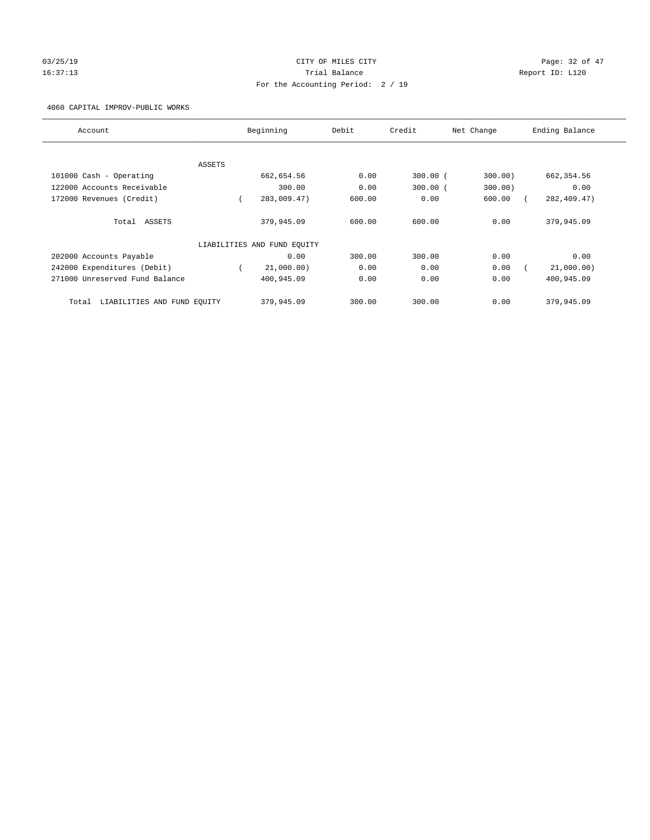# 03/25/19 Page: 32 of 47 16:37:13 Channel Balance Trial Balance Report ID: L120 For the Accounting Period: 2 / 19

4060 CAPITAL IMPROV-PUBLIC WORKS

| Account                              |        | Beginning                   | Debit  | Credit     | Net Change | Ending Balance |
|--------------------------------------|--------|-----------------------------|--------|------------|------------|----------------|
|                                      |        |                             |        |            |            |                |
|                                      | ASSETS |                             |        |            |            |                |
| 101000 Cash - Operating              |        | 662,654.56                  | 0.00   | $300.00$ ( | 300.00     | 662, 354.56    |
| 122000 Accounts Receivable           |        | 300.00                      | 0.00   | $300.00$ ( | 300.00)    | 0.00           |
| 172000 Revenues (Credit)             |        | 283,009.47)                 | 600.00 | 0.00       | 600.00     | 282, 409.47)   |
| Total ASSETS                         |        | 379,945.09                  | 600.00 | 600.00     | 0.00       | 379,945.09     |
|                                      |        | LIABILITIES AND FUND EQUITY |        |            |            |                |
| 202000 Accounts Payable              |        | 0.00                        | 300.00 | 300.00     | 0.00       | 0.00           |
| 242000 Expenditures (Debit)          |        | 21,000.00)                  | 0.00   | 0.00       | 0.00       | 21,000.00)     |
| 271000 Unreserved Fund Balance       |        | 400,945.09                  | 0.00   | 0.00       | 0.00       | 400,945.09     |
| LIABILITIES AND FUND EQUITY<br>Total |        | 379,945.09                  | 300.00 | 300.00     | 0.00       | 379,945.09     |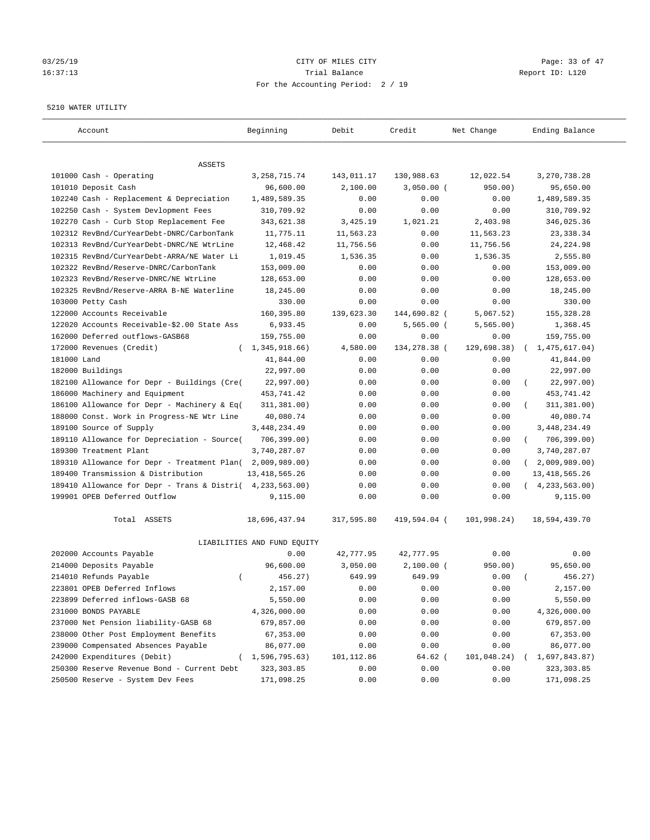# 03/25/19 Page: 33 of 47 16:37:13 Trial Balance Report ID: L120 For the Accounting Period: 2 / 19

#### 5210 WATER UTILITY

| Account                                     | Beginning                   | Debit      | Credit       | Net Change  | Ending Balance             |
|---------------------------------------------|-----------------------------|------------|--------------|-------------|----------------------------|
| ASSETS                                      |                             |            |              |             |                            |
| 101000 Cash - Operating                     | 3, 258, 715. 74             | 143,011.17 | 130,988.63   | 12,022.54   | 3, 270, 738.28             |
| 101010 Deposit Cash                         | 96,600.00                   | 2,100.00   | $3,050.00$ ( | 950.00)     | 95,650.00                  |
| 102240 Cash - Replacement & Depreciation    | 1,489,589.35                | 0.00       | 0.00         | 0.00        | 1,489,589.35               |
| 102250 Cash - System Devlopment Fees        | 310,709.92                  | 0.00       | 0.00         | 0.00        | 310,709.92                 |
| 102270 Cash - Curb Stop Replacement Fee     | 343,621.38                  | 3,425.19   | 1,021.21     | 2,403.98    | 346,025.36                 |
| 102312 RevBnd/CurYearDebt-DNRC/CarbonTank   | 11,775.11                   | 11,563.23  | 0.00         | 11,563.23   | 23, 338.34                 |
| 102313 RevBnd/CurYearDebt-DNRC/NE WtrLine   | 12,468.42                   | 11,756.56  | 0.00         | 11,756.56   | 24, 224.98                 |
| 102315 RevBnd/CurYearDebt-ARRA/NE Water Li  | 1,019.45                    | 1,536.35   | 0.00         | 1,536.35    | 2,555.80                   |
| 102322 RevBnd/Reserve-DNRC/CarbonTank       | 153,009.00                  | 0.00       | 0.00         | 0.00        | 153,009.00                 |
| 102323 RevBnd/Reserve-DNRC/NE WtrLine       | 128,653.00                  | 0.00       | 0.00         | 0.00        | 128,653.00                 |
| 102325 RevBnd/Reserve-ARRA B-NE Waterline   | 18,245.00                   | 0.00       | 0.00         | 0.00        | 18,245.00                  |
| 103000 Petty Cash                           | 330.00                      | 0.00       | 0.00         | 0.00        | 330.00                     |
| 122000 Accounts Receivable                  | 160,395.80                  | 139,623.30 | 144,690.82 ( | 5,067.52)   | 155,328.28                 |
| 122020 Accounts Receivable-\$2.00 State Ass | 6,933.45                    | 0.00       | $5,565.00$ ( | 5, 565.00)  | 1,368.45                   |
| 162000 Deferred outflows-GASB68             | 159,755.00                  | 0.00       | 0.00         | 0.00        | 159,755.00                 |
| 172000 Revenues (Credit)                    | (1, 345, 918.66)            | 4,580.00   | 134,278.38 ( | 129,698.38) | 1,475,617.04)              |
| 181000 Land                                 | 41,844.00                   | 0.00       | 0.00         | 0.00        | 41,844.00                  |
| 182000 Buildings                            | 22,997.00                   | 0.00       | 0.00         | 0.00        | 22,997.00                  |
| 182100 Allowance for Depr - Buildings (Cre( | 22,997.00)                  | 0.00       | 0.00         | 0.00        | 22,997.00)                 |
| 186000 Machinery and Equipment              | 453,741.42                  | 0.00       | 0.00         | 0.00        | 453,741.42                 |
| 186100 Allowance for Depr - Machinery & Eq( | 311,381.00)                 | 0.00       | 0.00         | 0.00        | 311,381.00)                |
| 188000 Const. Work in Progress-NE Wtr Line  | 40,080.74                   | 0.00       | 0.00         | 0.00        | 40,080.74                  |
| 189100 Source of Supply                     | 3, 448, 234.49              | 0.00       | 0.00         | 0.00        | 3,448,234.49               |
| 189110 Allowance for Depreciation - Source( | 706, 399.00)                | 0.00       | 0.00         | 0.00        | 706,399.00)<br>$\left($    |
| 189300 Treatment Plant                      | 3,740,287.07                | 0.00       | 0.00         | 0.00        | 3,740,287.07               |
| 189310 Allowance for Depr - Treatment Plan( | 2,009,989.00)               | 0.00       | 0.00         | 0.00        | 2,009,989.00<br>$\sqrt{2}$ |
| 189400 Transmission & Distribution          | 13, 418, 565.26             | 0.00       | 0.00         | 0.00        | 13, 418, 565.26            |
| 189410 Allowance for Depr - Trans & Distri( | 4,233,563.00)               | 0.00       | 0.00         | 0.00        | (4, 233, 563.00)           |
| 199901 OPEB Deferred Outflow                | 9,115.00                    | 0.00       | 0.00         | 0.00        | 9,115.00                   |
| Total ASSETS                                | 18,696,437.94               | 317,595.80 | 419,594.04 ( | 101,998.24) | 18,594,439.70              |
|                                             | LIABILITIES AND FUND EQUITY |            |              |             |                            |
| 202000 Accounts Payable                     | 0.00                        | 42,777.95  | 42,777.95    | 0.00        | 0.00                       |
| 214000 Deposits Payable                     | 96,600.00                   | 3,050.00   | $2,100.00$ ( | 950.00)     | 95,650.00                  |
| 214010 Refunds Payable<br>$\left($          | 456.27)                     | 649.99     | 649.99       | 0.00        | 456.27)                    |
| 223801 OPEB Deferred Inflows                | 2,157.00                    | 0.00       | 0.00         | 0.00        | 2,157.00                   |
| 223899 Deferred inflows-GASB 68             | 5,550.00                    | 0.00       | 0.00         | 0.00        | 5,550.00                   |
| 231000 BONDS PAYABLE                        | 4,326,000.00                | 0.00       | 0.00         | 0.00        | 4,326,000.00               |
| 237000 Net Pension liability-GASB 68        | 679,857.00                  | 0.00       | 0.00         | 0.00        | 679,857.00                 |
| 238000 Other Post Employment Benefits       | 67,353.00                   | 0.00       | 0.00         | 0.00        | 67,353.00                  |
| 239000 Compensated Absences Payable         | 86,077.00                   | 0.00       | 0.00         | 0.00        | 86,077.00                  |
| 242000 Expenditures (Debit)                 | (1, 596, 795.63)            | 101,112.86 | 64.62 (      | 101,048.24) | 1,697,843.87)              |
| 250300 Reserve Revenue Bond - Current Debt  | 323, 303.85                 | 0.00       | 0.00         | 0.00        | 323, 303.85                |
| 250500 Reserve - System Dev Fees            | 171,098.25                  | 0.00       | 0.00         | 0.00        | 171,098.25                 |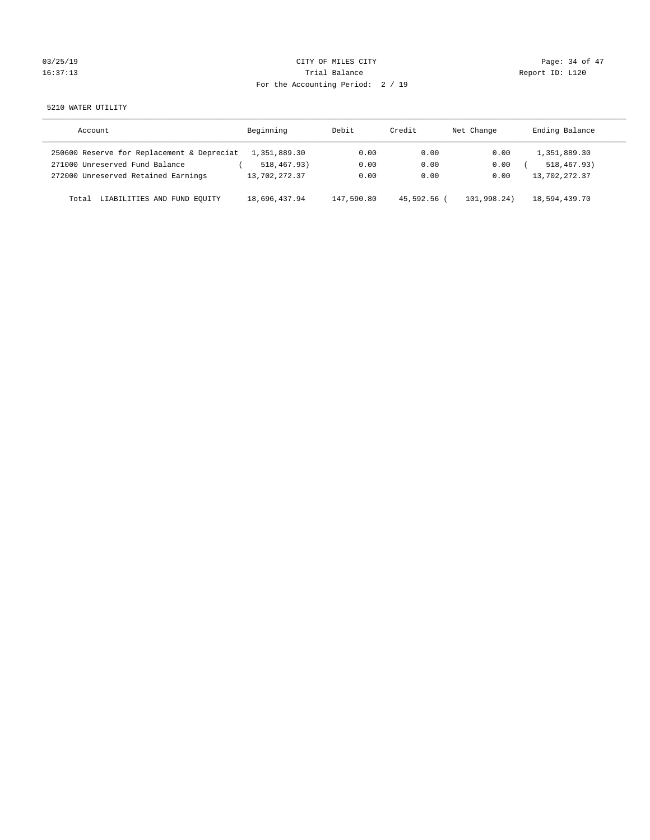| 5/19 |  |  |
|------|--|--|
| 7:13 |  |  |

# 03/25/19 Page: 34 of 47 16:37:13 Channel Balance Trial Balance Report ID: L120 For the Accounting Period: 2 / 19

5210 WATER UTILITY

| Account                                    | Beginning     | Debit      | Credit      | Net Change  | Ending Balance |
|--------------------------------------------|---------------|------------|-------------|-------------|----------------|
| 250600 Reserve for Replacement & Depreciat | 1,351,889.30  | 0.00       | 0.00        | 0.00        | 1,351,889.30   |
| 271000 Unreserved Fund Balance             | 518,467.93)   | 0.00       | 0.00        | 0.00        | 518, 467, 93)  |
| 272000 Unreserved Retained Earnings        | 13,702,272.37 | 0.00       | 0.00        | 0.00        | 13,702,272.37  |
| LIABILITIES AND FUND EOUITY<br>Total       | 18,696,437.94 | 147,590.80 | 45,592.56 ( | 101,998,24) | 18,594,439.70  |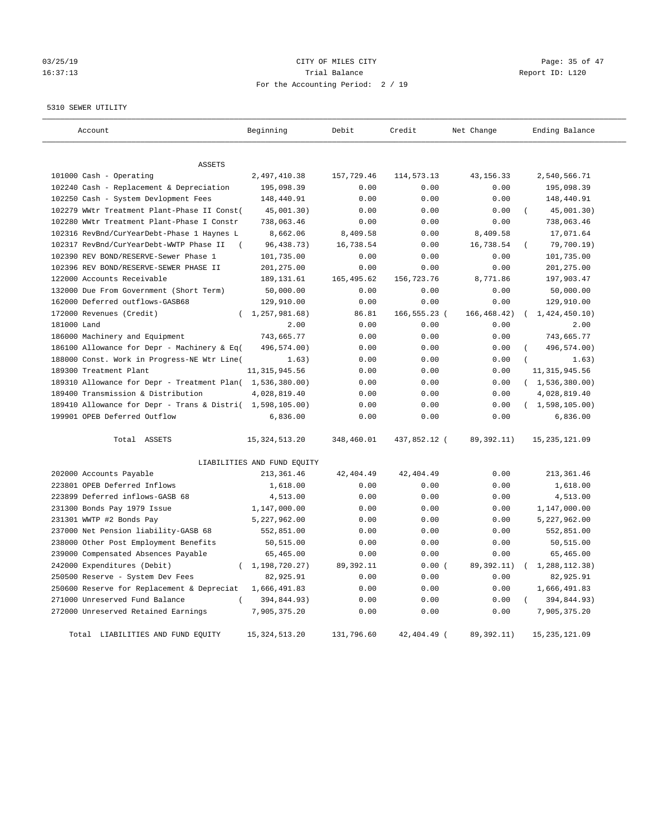# 03/25/19 Page: 35 of 47 16:37:13 Channel Balance Trial Balance Report ID: L120 For the Accounting Period: 2 / 19

5310 SEWER UTILITY

| Account                                                   | Beginning                   | Debit       | Credit       | Net Change   | Ending Balance   |
|-----------------------------------------------------------|-----------------------------|-------------|--------------|--------------|------------------|
|                                                           |                             |             |              |              |                  |
| <b>ASSETS</b>                                             |                             |             |              |              |                  |
| 101000 Cash - Operating                                   | 2,497,410.38                | 157,729.46  | 114,573.13   | 43, 156. 33  | 2,540,566.71     |
| 102240 Cash - Replacement & Depreciation                  | 195,098.39                  | 0.00        | 0.00         | 0.00         | 195,098.39       |
| 102250 Cash - System Devlopment Fees                      | 148,440.91                  | 0.00        | 0.00         | 0.00         | 148,440.91       |
| 102279 WWtr Treatment Plant-Phase II Const(               | 45,001.30)                  | 0.00        | 0.00         | 0.00         | 45,001.30)       |
| 102280 WWtr Treatment Plant-Phase I Constr                | 738,063.46                  | 0.00        | 0.00         | 0.00         | 738,063.46       |
| 102316 RevBnd/CurYearDebt-Phase 1 Haynes L                | 8,662.06                    | 8,409.58    | 0.00         | 8,409.58     | 17,071.64        |
| 102317 RevBnd/CurYearDebt-WWTP Phase II                   | 96, 438. 73)                | 16,738.54   | 0.00         | 16,738.54    | 79,700.19)       |
| 102390 REV BOND/RESERVE-Sewer Phase 1                     | 101,735.00                  | 0.00        | 0.00         | 0.00         | 101,735.00       |
| 102396 REV BOND/RESERVE-SEWER PHASE II                    | 201,275.00                  | 0.00        | 0.00         | 0.00         | 201,275.00       |
| 122000 Accounts Receivable                                | 189, 131.61                 | 165, 495.62 | 156,723.76   | 8,771.86     | 197,903.47       |
| 132000 Due From Government (Short Term)                   | 50,000.00                   | 0.00        | 0.00         | 0.00         | 50,000.00        |
| 162000 Deferred outflows-GASB68                           | 129,910.00                  | 0.00        | 0.00         | 0.00         | 129,910.00       |
| 172000 Revenues (Credit)                                  | (1, 257, 981.68)            | 86.81       | 166,555.23 ( | 166, 468.42) | (1, 424, 450.10) |
| 181000 Land                                               | 2.00                        | 0.00        | 0.00         | 0.00         | 2.00             |
| 186000 Machinery and Equipment                            | 743,665.77                  | 0.00        | 0.00         | 0.00         | 743,665.77       |
| 186100 Allowance for Depr - Machinery & Eq(               | 496,574.00)                 | 0.00        | 0.00         | 0.00         | 496,574.00)      |
| 188000 Const. Work in Progress-NE Wtr Line(               | 1.63)                       | 0.00        | 0.00         | 0.00         | 1.63)            |
| 189300 Treatment Plant                                    | 11, 315, 945.56             | 0.00        | 0.00         | 0.00         | 11, 315, 945.56  |
| 189310 Allowance for Depr - Treatment Plan( 1,536,380.00) |                             | 0.00        | 0.00         | 0.00         | (1, 536, 380.00) |
| 189400 Transmission & Distribution                        | 4,028,819.40                | 0.00        | 0.00         | 0.00         | 4,028,819.40     |
| 189410 Allowance for Depr - Trans & Distri( 1,598,105.00) |                             | 0.00        | 0.00         | 0.00         | (1,598,105.00)   |
| 199901 OPEB Deferred Outflow                              | 6,836.00                    | 0.00        | 0.00         | 0.00         | 6,836.00         |
|                                                           |                             |             |              |              |                  |
| Total ASSETS                                              | 15, 324, 513. 20            | 348,460.01  | 437,852.12 ( | 89, 392. 11) | 15, 235, 121.09  |
|                                                           | LIABILITIES AND FUND EQUITY |             |              |              |                  |
| 202000 Accounts Payable                                   | 213, 361.46                 | 42, 404.49  | 42, 404.49   | 0.00         | 213, 361.46      |
| 223801 OPEB Deferred Inflows                              | 1,618.00                    | 0.00        | 0.00         | 0.00         | 1,618.00         |
| 223899 Deferred inflows-GASB 68                           | 4,513.00                    | 0.00        | 0.00         | 0.00         | 4,513.00         |
| 231300 Bonds Pay 1979 Issue                               | 1,147,000.00                | 0.00        | 0.00         | 0.00         | 1,147,000.00     |
| 231301 WWTP #2 Bonds Pay                                  | 5,227,962.00                | 0.00        | 0.00         | 0.00         | 5,227,962.00     |
| 237000 Net Pension liability-GASB 68                      | 552,851.00                  | 0.00        | 0.00         | 0.00         | 552,851.00       |
| 238000 Other Post Employment Benefits                     | 50,515.00                   | 0.00        | 0.00         | 0.00         | 50,515.00        |
| 239000 Compensated Absences Payable                       | 65,465.00                   | 0.00        | 0.00         | 0.00         | 65,465.00        |
| 242000 Expenditures (Debit)                               | (1, 198, 720.27)            | 89, 392.11  | 0.00(        | 89, 392. 11) | 1,288,112.38)    |
| 250500 Reserve - System Dev Fees                          | 82,925.91                   | 0.00        | 0.00         | 0.00         | 82,925.91        |
| 250600 Reserve for Replacement & Depreciat                | 1,666,491.83                | 0.00        | 0.00         | 0.00         | 1,666,491.83     |
| 271000 Unreserved Fund Balance                            | 394,844.93)                 | 0.00        | 0.00         | 0.00         | 394,844.93)      |
| 272000 Unreserved Retained Earnings                       | 7,905,375.20                | 0.00        | 0.00         | 0.00         | 7,905,375.20     |
| Total LIABILITIES AND FUND EQUITY                         | 15, 324, 513. 20            | 131,796.60  | 42,404.49 (  | 89, 392. 11) | 15, 235, 121.09  |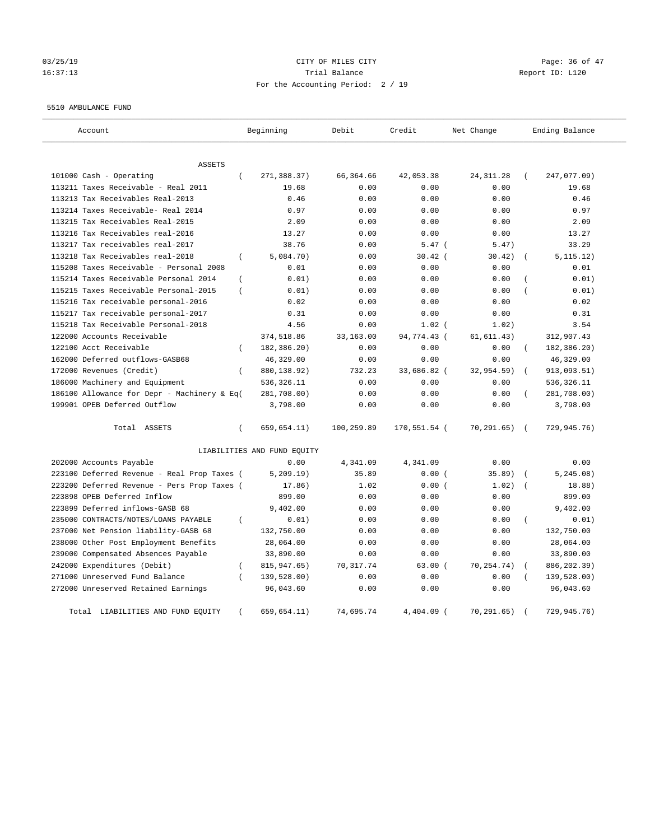# 03/25/19 Page: 36 of 47 16:37:13 Trial Balance Report ID: L120 For the Accounting Period: 2 / 19

#### 5510 AMBULANCE FUND

| Account                                                  | Beginning                   | Debit      | Credit       | Net Change  | Ending Balance            |
|----------------------------------------------------------|-----------------------------|------------|--------------|-------------|---------------------------|
| <b>ASSETS</b>                                            |                             |            |              |             |                           |
| 101000 Cash - Operating<br>$\left($                      | 271,388.37)                 | 66,364.66  | 42,053.38    | 24, 311.28  | 247,077.09)<br>$\left($   |
| 113211 Taxes Receivable - Real 2011                      | 19.68                       | 0.00       | 0.00         | 0.00        | 19.68                     |
| 113213 Tax Receivables Real-2013                         | 0.46                        | 0.00       | 0.00         | 0.00        | 0.46                      |
| 113214 Taxes Receivable- Real 2014                       | 0.97                        | 0.00       | 0.00         | 0.00        | 0.97                      |
| 113215 Tax Receivables Real-2015                         | 2.09                        | 0.00       | 0.00         | 0.00        | 2.09                      |
| 113216 Tax Receivables real-2016                         | 13.27                       | 0.00       | 0.00         | 0.00        | 13.27                     |
| 113217 Tax receivables real-2017                         | 38.76                       | 0.00       | $5.47$ (     | 5.47)       | 33.29                     |
| 113218 Tax Receivables real-2018<br>$\left($             | 5,084.70)                   | 0.00       | $30.42$ (    | 30.42)      | 5, 115.12)                |
| 115208 Taxes Receivable - Personal 2008                  | 0.01                        | 0.00       | 0.00         | 0.00        | 0.01                      |
| 115214 Taxes Receivable Personal 2014<br>$\left($        | 0.01)                       | 0.00       | 0.00         | 0.00        | 0.01)                     |
| 115215 Taxes Receivable Personal-2015<br>$\left($        | 0.01)                       | 0.00       | 0.00         | 0.00        | 0.01)                     |
| 115216 Tax receivable personal-2016                      | 0.02                        | 0.00       | 0.00         | 0.00        | 0.02                      |
| 115217 Tax receivable personal-2017                      | 0.31                        | 0.00       | 0.00         | 0.00        | 0.31                      |
| 115218 Tax Receivable Personal-2018                      | 4.56                        | 0.00       | $1.02$ (     | 1.02)       | 3.54                      |
| 122000 Accounts Receivable                               | 374,518.86                  | 33,163.00  | 94,774.43 (  | 61, 611.43) | 312,907.43                |
| 122100 Acct Receivable<br>$\left($                       | 182,386.20)                 | 0.00       | 0.00         | 0.00        | 182,386.20)<br>$\left($   |
| 162000 Deferred outflows-GASB68                          | 46,329.00                   | 0.00       | 0.00         | 0.00        | 46,329.00                 |
| 172000 Revenues (Credit)<br>$\overline{(\ }$             | 880,138.92)                 | 732.23     | 33,686.82 (  | 32,954.59)  | 913,093.51)               |
| 186000 Machinery and Equipment                           | 536,326.11                  | 0.00       | 0.00         | 0.00        | 536,326.11                |
| 186100 Allowance for Depr - Machinery & Eq(              | 281,708.00)                 | 0.00       | 0.00         | 0.00        | 281,708.00)               |
| 199901 OPEB Deferred Outflow                             | 3,798.00                    | 0.00       | 0.00         | 0.00        | 3,798.00                  |
| Total ASSETS<br>$\left($                                 | 659,654.11)                 | 100,259.89 | 170,551.54 ( | 70, 291.65) | 729,945.76)<br>$\sqrt{2}$ |
|                                                          | LIABILITIES AND FUND EQUITY |            |              |             |                           |
| 202000 Accounts Payable                                  | 0.00                        | 4,341.09   | 4,341.09     | 0.00        | 0.00                      |
| 223100 Deferred Revenue - Real Prop Taxes (              | 5, 209.19)                  | 35.89      | 0.00(        | 35.89)      | 5, 245.08)                |
| 223200 Deferred Revenue - Pers Prop Taxes (              | 17.86)                      | 1.02       | 0.00(        | 1.02)       | 18.88)                    |
| 223898 OPEB Deferred Inflow                              | 899.00                      | 0.00       | 0.00         | 0.00        | 899.00                    |
| 223899 Deferred inflows-GASB 68                          | 9,402.00                    | 0.00       | 0.00         | 0.00        | 9,402.00                  |
| 235000 CONTRACTS/NOTES/LOANS PAYABLE<br>$\overline{(\ }$ | 0.01)                       | 0.00       | 0.00         | 0.00        | 0.01)<br>$\overline{(\ }$ |
| 237000 Net Pension liability-GASB 68                     | 132,750.00                  | 0.00       | 0.00         | 0.00        | 132,750.00                |
| 238000 Other Post Employment Benefits                    | 28,064.00                   | 0.00       | 0.00         | 0.00        | 28,064.00                 |
| 239000 Compensated Absences Payable                      | 33,890.00                   | 0.00       | 0.00         | 0.00        | 33,890.00                 |
| 242000 Expenditures (Debit)<br>$\left($                  | 815,947.65)                 | 70,317.74  | 63.00(       | 70,254.74)  | 886,202.39)               |
| 271000 Unreserved Fund Balance                           | 139,528.00)                 | 0.00       | 0.00         | 0.00        | 139,528.00)               |
| 272000 Unreserved Retained Earnings                      | 96,043.60                   | 0.00       | 0.00         | 0.00        | 96,043.60                 |
| Total LIABILITIES AND FUND EQUITY                        | 659,654.11)                 | 74.695.74  | 4,404.09 (   | 70, 291.65) | 729,945.76)               |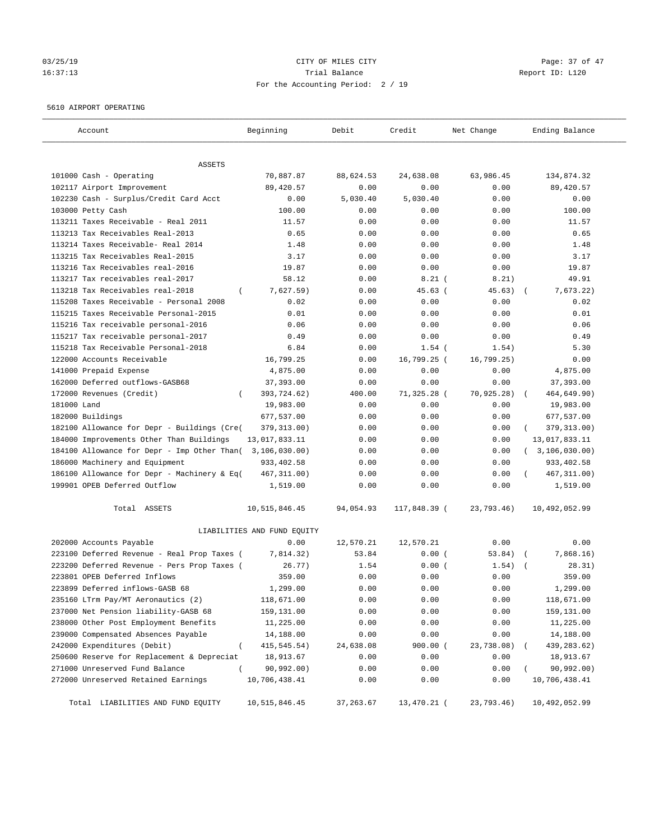# 03/25/19 Page: 37 of 47 16:37:13 Trial Balance Report ID: L120 For the Accounting Period: 2 / 19

#### 5610 AIRPORT OPERATING

| Account                                      | Beginning                   | Debit      | Credit       | Net Change  | Ending Balance        |
|----------------------------------------------|-----------------------------|------------|--------------|-------------|-----------------------|
| ASSETS                                       |                             |            |              |             |                       |
| 101000 Cash - Operating                      | 70,887.87                   | 88,624.53  | 24,638.08    | 63,986.45   | 134,874.32            |
| 102117 Airport Improvement                   | 89,420.57                   | 0.00       | 0.00         | 0.00        | 89,420.57             |
| 102230 Cash - Surplus/Credit Card Acct       | 0.00                        | 5,030.40   | 5,030.40     | 0.00        | 0.00                  |
| 103000 Petty Cash                            | 100.00                      | 0.00       | 0.00         | 0.00        | 100.00                |
| 113211 Taxes Receivable - Real 2011          | 11.57                       | 0.00       | 0.00         | 0.00        | 11.57                 |
| 113213 Tax Receivables Real-2013             | 0.65                        | 0.00       | 0.00         | 0.00        | 0.65                  |
| 113214 Taxes Receivable- Real 2014           | 1.48                        | 0.00       | 0.00         | 0.00        | 1.48                  |
| 113215 Tax Receivables Real-2015             | 3.17                        | 0.00       | 0.00         | 0.00        | 3.17                  |
| 113216 Tax Receivables real-2016             | 19.87                       | 0.00       | 0.00         | 0.00        | 19.87                 |
| 113217 Tax receivables real-2017             | 58.12                       | 0.00       | $8.21$ (     | 8.21)       | 49.91                 |
| 113218 Tax Receivables real-2018<br>$\left($ | 7,627.59)                   | 0.00       | 45.63(       | 45.63)      | 7,673.22)             |
| 115208 Taxes Receivable - Personal 2008      | 0.02                        | 0.00       | 0.00         | 0.00        | 0.02                  |
| 115215 Taxes Receivable Personal-2015        | 0.01                        | 0.00       | 0.00         | 0.00        | 0.01                  |
| 115216 Tax receivable personal-2016          | 0.06                        | 0.00       | 0.00         | 0.00        | 0.06                  |
| 115217 Tax receivable personal-2017          | 0.49                        | 0.00       | 0.00         | 0.00        | 0.49                  |
| 115218 Tax Receivable Personal-2018          | 6.84                        | 0.00       | $1.54$ (     | 1.54)       | 5.30                  |
| 122000 Accounts Receivable                   | 16,799.25                   | 0.00       | 16,799.25 (  | 16, 799.25) | 0.00                  |
| 141000 Prepaid Expense                       | 4,875.00                    | 0.00       | 0.00         | 0.00        | 4,875.00              |
| 162000 Deferred outflows-GASB68              | 37,393.00                   | 0.00       | 0.00         | 0.00        | 37,393.00             |
| 172000 Revenues (Credit)<br>$\left($         | 393,724.62)                 | 400.00     | 71,325.28 (  | 70,925.28)  | 464,649.90)           |
| 181000 Land                                  | 19,983.00                   | 0.00       | 0.00         | 0.00        | 19,983.00             |
| 182000 Buildings                             | 677,537.00                  | 0.00       | 0.00         | 0.00        | 677,537.00            |
| 182100 Allowance for Depr - Buildings (Cre(  | 379, 313.00)                | 0.00       | 0.00         | 0.00        | 379, 313.00)          |
| 184000 Improvements Other Than Buildings     | 13,017,833.11               | 0.00       | 0.00         | 0.00        | 13,017,833.11         |
| 184100 Allowance for Depr - Imp Other Than(  | 3,106,030.00)               | 0.00       | 0.00         | 0.00        | (3, 106, 030.00)      |
| 186000 Machinery and Equipment               | 933,402.58                  | 0.00       | 0.00         | 0.00        | 933,402.58            |
| 186100 Allowance for Depr - Machinery & Eq(  | 467, 311.00)                | 0.00       | 0.00         | 0.00        | 467, 311.00)          |
| 199901 OPEB Deferred Outflow                 | 1,519.00                    | 0.00       | 0.00         | 0.00        | 1,519.00              |
| Total ASSETS                                 | 10,515,846.45               | 94,054.93  | 117,848.39 ( | 23,793.46)  | 10,492,052.99         |
|                                              | LIABILITIES AND FUND EQUITY |            |              |             |                       |
| 202000 Accounts Payable                      | 0.00                        | 12,570.21  | 12,570.21    | 0.00        | 0.00                  |
| 223100 Deferred Revenue - Real Prop Taxes (  | 7,814.32)                   | 53.84      | 0.00(        | 53.84)      | 7,868.16)<br>$\left($ |
| 223200 Deferred Revenue - Pers Prop Taxes (  | 26.77)                      | 1.54       | 0.00(        | 1.54)       | 28.31)                |
| 223801 OPEB Deferred Inflows                 | 359.00                      | 0.00       | 0.00         | 0.00        | 359.00                |
| 223899 Deferred inflows-GASB 68              | 1,299.00                    | 0.00       | 0.00         | 0.00        | 1,299.00              |
| 235160 LTrm Pay/MT Aeronautics (2)           | 118,671.00                  | 0.00       | 0.00         | 0.00        | 118,671.00            |
| 237000 Net Pension liability-GASB 68         | 159,131.00                  | 0.00       | 0.00         | 0.00        | 159,131.00            |
| 238000 Other Post Employment Benefits        | 11,225.00                   | 0.00       | 0.00         | 0.00        | 11,225.00             |
| 239000 Compensated Absences Payable          | 14,188.00                   | 0.00       | 0.00         | 0.00        | 14,188.00             |
| 242000 Expenditures (Debit)<br>$\left($      | 415, 545. 54)               | 24,638.08  | 900.00 (     | 23,738.08)  | 439, 283.62)          |
| 250600 Reserve for Replacement & Depreciat   | 18,913.67                   | 0.00       | 0.00         | 0.00        | 18,913.67             |
| 271000 Unreserved Fund Balance<br>$\left($   | 90,992.00)                  | 0.00       | 0.00         | 0.00        | 90,992.00)            |
| 272000 Unreserved Retained Earnings          | 10,706,438.41               | 0.00       | 0.00         | 0.00        | 10,706,438.41         |
| Total LIABILITIES AND FUND EQUITY            | 10,515,846.45               | 37, 263.67 | 13,470.21 (  | 23,793.46)  | 10,492,052.99         |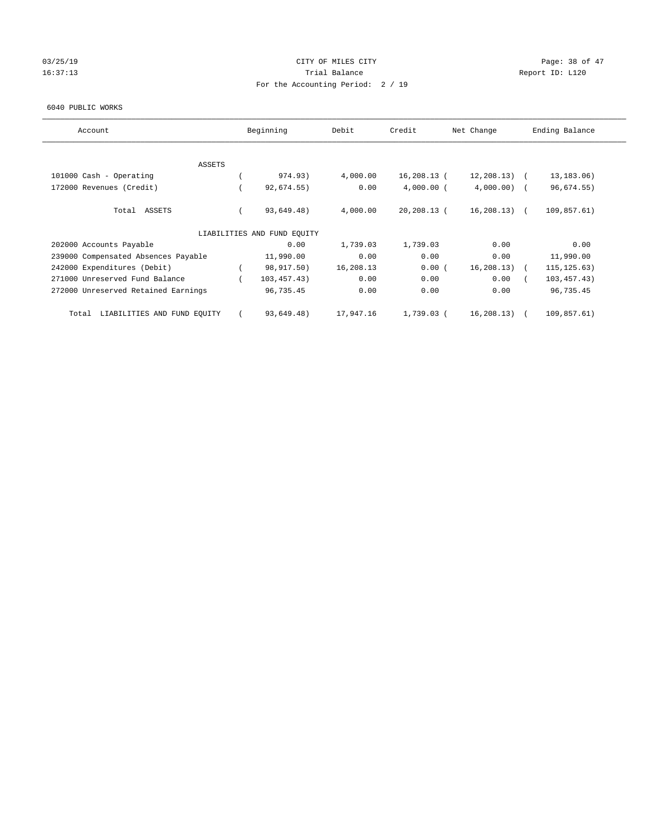## 03/25/19 Page: 38 of 47 16:37:13 Channel Balance Trial Balance Report ID: L120 For the Accounting Period: 2 / 19

#### 6040 PUBLIC WORKS

| Account                              | Beginning                   | Debit     | Credit         | Net Change     | Ending Balance |  |
|--------------------------------------|-----------------------------|-----------|----------------|----------------|----------------|--|
| <b>ASSETS</b>                        |                             |           |                |                |                |  |
| 101000 Cash - Operating              | 974.93)                     | 4,000.00  | 16,208.13 (    | $12, 208.13$ ( | 13, 183.06)    |  |
| 172000 Revenues (Credit)             | 92,674.55)                  | 0.00      | $4,000.00$ (   | $4,000.00)$ (  | 96,674.55)     |  |
| Total ASSETS                         | 93,649.48)                  | 4,000.00  | $20, 208.13$ ( | $16, 208.13$ ( | 109,857.61)    |  |
|                                      | LIABILITIES AND FUND EQUITY |           |                |                |                |  |
| 202000 Accounts Payable              | 0.00                        | 1,739.03  | 1,739.03       | 0.00           | 0.00           |  |
| 239000 Compensated Absences Payable  | 11,990.00                   | 0.00      | 0.00           | 0.00           | 11,990.00      |  |
| 242000 Expenditures (Debit)          | 98,917.50)                  | 16,208.13 | 0.00(          | 16, 208.13)    | 115, 125.63)   |  |
| 271000 Unreserved Fund Balance       | 103,457.43)                 | 0.00      | 0.00           | 0.00           | 103, 457.43)   |  |
| 272000 Unreserved Retained Earnings  | 96,735.45                   | 0.00      | 0.00           | 0.00           | 96,735.45      |  |
| LIABILITIES AND FUND EQUITY<br>Total | 93,649.48)                  | 17,947.16 | 1,739.03 (     | 16, 208.13)    | 109,857.61)    |  |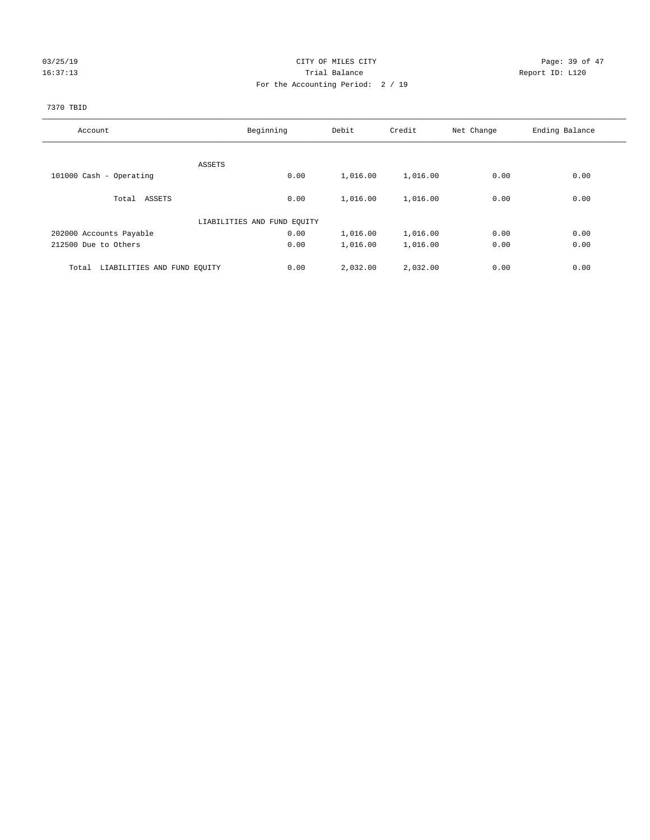## 03/25/19 Page: 39 of 47 16:37:13 **Trial Balance Trial Balance Report ID:** L120 For the Accounting Period: 2 / 19

### 7370 TBID

| Account                              | Beginning                   | Debit    | Credit   | Net Change | Ending Balance |
|--------------------------------------|-----------------------------|----------|----------|------------|----------------|
|                                      |                             |          |          |            |                |
|                                      | ASSETS                      |          |          |            |                |
| 101000 Cash - Operating              | 0.00                        | 1,016.00 | 1,016.00 | 0.00       | 0.00           |
| Total ASSETS                         | 0.00                        | 1,016.00 | 1,016.00 | 0.00       | 0.00           |
|                                      | LIABILITIES AND FUND EQUITY |          |          |            |                |
| 202000 Accounts Payable              | 0.00                        | 1,016.00 | 1,016.00 | 0.00       | 0.00           |
| 212500 Due to Others                 | 0.00                        | 1,016.00 | 1,016.00 | 0.00       | 0.00           |
| LIABILITIES AND FUND EQUITY<br>Total | 0.00                        | 2,032.00 | 2,032.00 | 0.00       | 0.00           |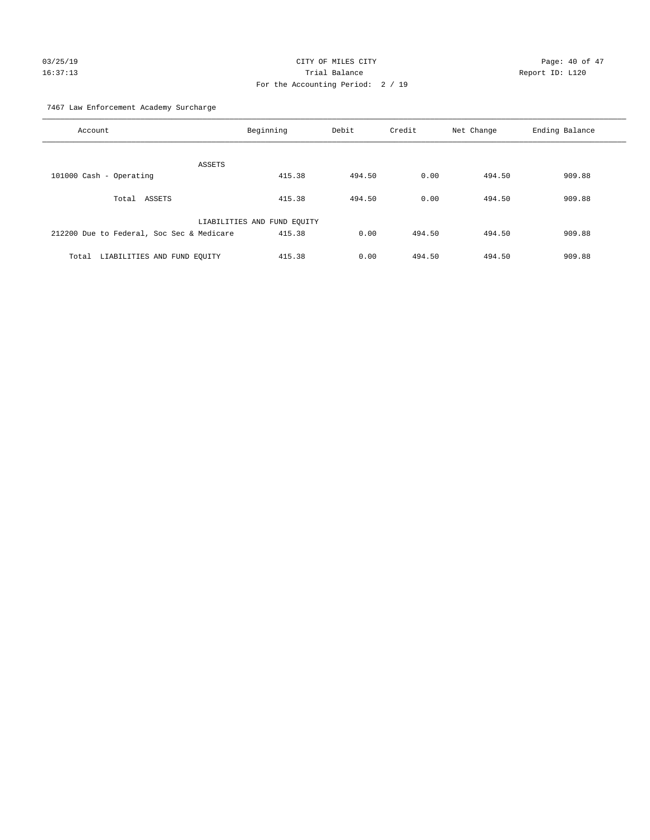# 03/25/19 Page: 40 of 47 16:37:13 Trial Balance Report ID: L120 For the Accounting Period: 2 / 19

7467 Law Enforcement Academy Surcharge

| Account                                   | Beginning                   | Debit  | Credit | Net Change | Ending Balance |
|-------------------------------------------|-----------------------------|--------|--------|------------|----------------|
| <b>ASSETS</b>                             |                             |        |        |            |                |
| 101000 Cash - Operating                   | 415.38                      | 494.50 | 0.00   | 494.50     | 909.88         |
|                                           |                             |        |        |            |                |
| Total ASSETS                              | 415.38                      | 494.50 | 0.00   | 494.50     | 909.88         |
|                                           | LIABILITIES AND FUND EQUITY |        |        |            |                |
| 212200 Due to Federal, Soc Sec & Medicare | 415.38                      | 0.00   | 494.50 | 494.50     | 909.88         |
| LIABILITIES AND FUND EQUITY<br>Total      | 415.38                      | 0.00   | 494.50 | 494.50     | 909.88         |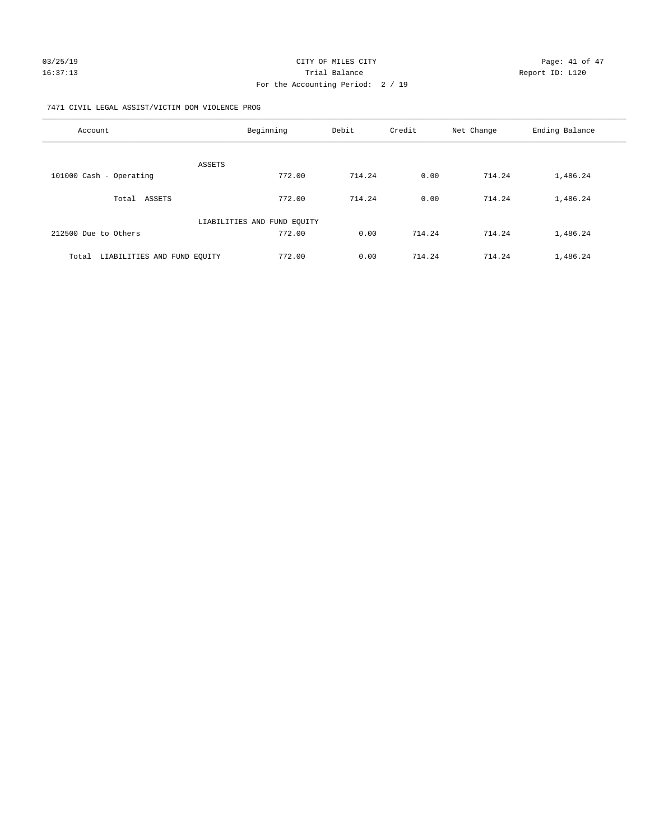#### 7471 CIVIL LEGAL ASSIST/VICTIM DOM VIOLENCE PROG

| Account                              | Beginning                   | Debit  | Credit | Net Change | Ending Balance |
|--------------------------------------|-----------------------------|--------|--------|------------|----------------|
| <b>ASSETS</b>                        |                             |        |        |            |                |
| 101000 Cash - Operating              | 772.00                      | 714.24 | 0.00   | 714.24     | 1,486.24       |
| ASSETS<br>Total                      | 772.00                      | 714.24 | 0.00   | 714.24     | 1,486.24       |
|                                      | LIABILITIES AND FUND EQUITY |        |        |            |                |
| 212500 Due to Others                 | 772.00                      | 0.00   | 714.24 | 714.24     | 1,486.24       |
| LIABILITIES AND FUND EOUITY<br>Total | 772.00                      | 0.00   | 714.24 | 714.24     | 1,486.24       |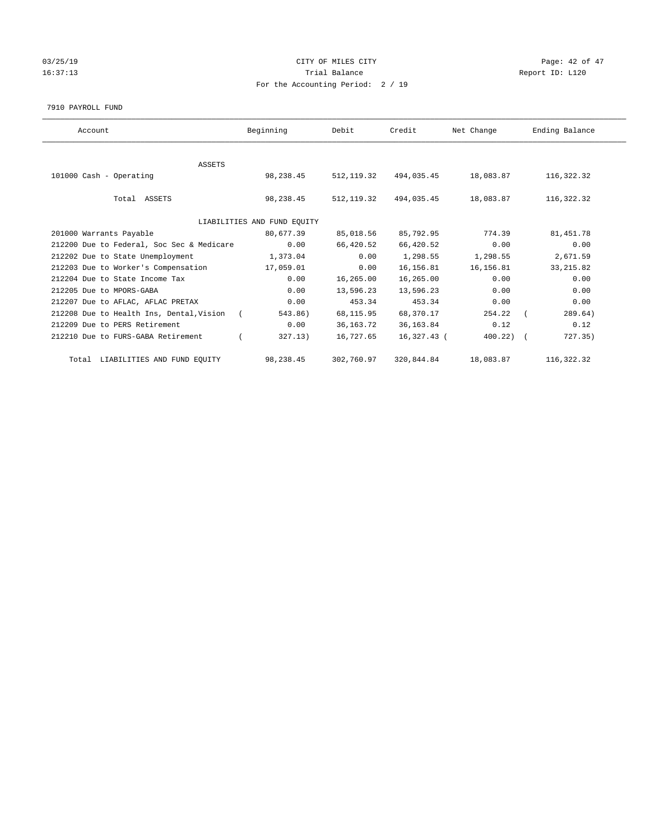# 03/25/19 Page: 42 of 47 16:37:13 Channel Balance Trial Balance Report ID: L120 For the Accounting Period: 2 / 19

#### 7910 PAYROLL FUND

| Account                                   | Beginning                   | Debit       | Credit      | Net Change     | Ending Balance |
|-------------------------------------------|-----------------------------|-------------|-------------|----------------|----------------|
|                                           |                             |             |             |                |                |
| ASSETS                                    |                             |             |             |                |                |
| 101000 Cash - Operating                   | 98,238.45                   | 512, 119.32 | 494,035.45  | 18,083.87      | 116,322.32     |
| Total ASSETS                              | 98,238.45                   | 512, 119.32 | 494,035.45  | 18,083.87      | 116,322.32     |
|                                           | LIABILITIES AND FUND EQUITY |             |             |                |                |
| 201000 Warrants Payable                   | 80,677.39                   | 85,018.56   | 85,792.95   | 774.39         | 81, 451.78     |
| 212200 Due to Federal, Soc Sec & Medicare | 0.00                        | 66,420.52   | 66,420.52   | 0.00           | 0.00           |
| 212202 Due to State Unemployment          | 1,373.04                    | 0.00        | 1,298.55    | 1,298.55       | 2,671.59       |
| 212203 Due to Worker's Compensation       | 17,059.01                   | 0.00        | 16,156.81   | 16,156.81      | 33, 215.82     |
| 212204 Due to State Income Tax            | 0.00                        | 16,265.00   | 16,265.00   | 0.00           | 0.00           |
| 212205 Due to MPORS-GABA                  | 0.00                        | 13,596.23   | 13,596.23   | 0.00           | 0.00           |
| 212207 Due to AFLAC, AFLAC PRETAX         | 0.00                        | 453.34      | 453.34      | 0.00           | 0.00           |
| 212208 Due to Health Ins, Dental, Vision  | 543.86)                     | 68, 115.95  | 68,370.17   | 254.22         | 289.64)        |
| 212209 Due to PERS Retirement             | 0.00                        | 36, 163. 72 | 36,163.84   | 0.12           | 0.12           |
| 212210 Due to FURS-GABA Retirement        | 327.13)                     | 16,727.65   | 16,327.43 ( | $400.22$ ) $($ | 727.35)        |
| Total LIABILITIES AND FUND EQUITY         | 98,238.45                   | 302,760.97  | 320,844.84  | 18,083.87      | 116,322.32     |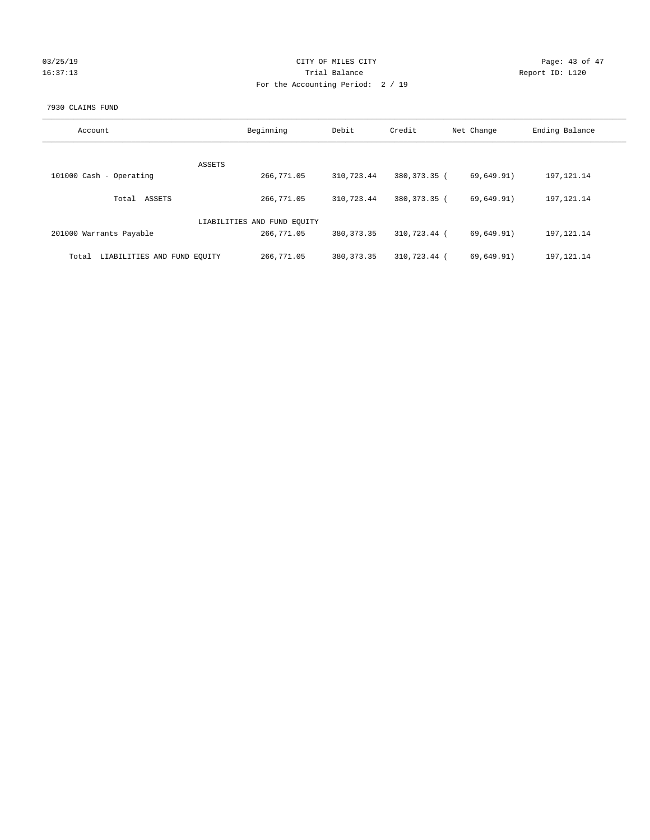| 03/25/19 |  |
|----------|--|
| 16:37:13 |  |

# CITY OF MILES CITY CONTROL CONTROL CITY CONTROL Page: 43 of 47 Partial Balance and Communications of the Report ID: L120 For the Accounting Period: 2 / 19

#### 7930 CLAIMS FUND

| Account                              | Beginning                   | Debit        | Credit         | Net Change | Ending Balance |
|--------------------------------------|-----------------------------|--------------|----------------|------------|----------------|
|                                      |                             |              |                |            |                |
| <b>ASSETS</b>                        |                             |              |                |            |                |
| 101000 Cash - Operating              | 266,771.05                  | 310,723.44   | 380,373.35 (   | 69,649.91) | 197, 121. 14   |
|                                      |                             |              |                |            |                |
| ASSETS<br>Total                      | 266,771.05                  | 310,723.44   | 380, 373, 35 ( | 69,649.91) | 197, 121. 14   |
|                                      |                             |              |                |            |                |
|                                      | LIABILITIES AND FUND EQUITY |              |                |            |                |
| 201000 Warrants Payable              | 266,771.05                  | 380, 373. 35 | 310,723.44 (   | 69,649.91) | 197, 121. 14   |
|                                      |                             |              |                |            |                |
|                                      |                             |              |                |            |                |
| LIABILITIES AND FUND EQUITY<br>Total | 266,771.05                  | 380, 373, 35 | 310,723.44 (   | 69,649.91) | 197, 121. 14   |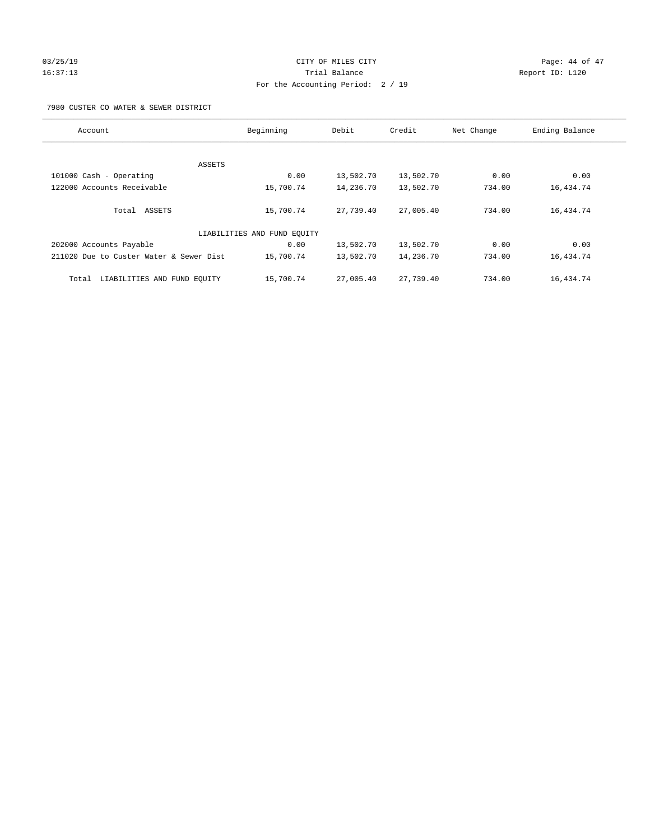# 03/25/19 Page: 44 of 47 16:37:13 Trial Balance Report ID: L120 For the Accounting Period: 2 / 19

7980 CUSTER CO WATER & SEWER DISTRICT

| Account                                 | Beginning                   | Debit     | Credit    | Net Change | Ending Balance |
|-----------------------------------------|-----------------------------|-----------|-----------|------------|----------------|
|                                         |                             |           |           |            |                |
|                                         |                             |           |           |            |                |
| ASSETS                                  |                             |           |           |            |                |
| 101000 Cash - Operating                 | 0.00                        | 13,502.70 | 13,502.70 | 0.00       | 0.00           |
| 122000 Accounts Receivable              | 15,700.74                   | 14,236.70 | 13,502.70 | 734.00     | 16,434.74      |
|                                         |                             |           |           |            |                |
| Total ASSETS                            | 15,700.74                   | 27,739.40 | 27,005.40 | 734.00     | 16,434.74      |
|                                         | LIABILITIES AND FUND EQUITY |           |           |            |                |
|                                         |                             |           |           |            |                |
| 202000 Accounts Payable                 | 0.00                        | 13,502.70 | 13,502.70 | 0.00       | 0.00           |
| 211020 Due to Custer Water & Sewer Dist | 15,700.74                   | 13,502.70 | 14,236.70 | 734.00     | 16,434.74      |
| LIABILITIES AND FUND EQUITY<br>Total    | 15,700.74                   | 27,005.40 | 27,739.40 | 734.00     | 16,434.74      |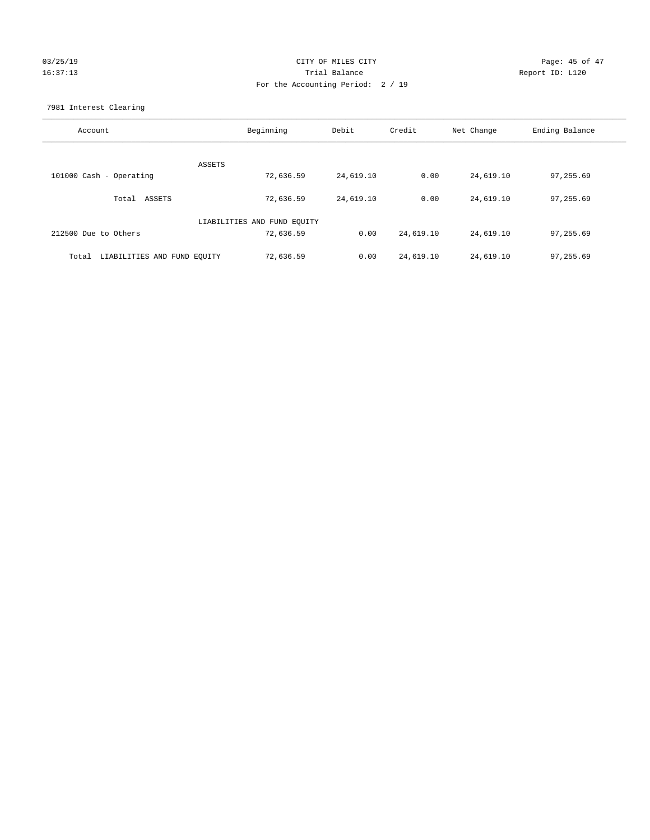# $CITY$  OF MILES  $CITY$  and  $P45$  of  $47$ 16:37:13 Trial Balance Report ID: L120 For the Accounting Period: 2 / 19

7981 Interest Clearing

| Account                              | Beginning                   | Debit     | Credit    | Net Change | Ending Balance |
|--------------------------------------|-----------------------------|-----------|-----------|------------|----------------|
|                                      | ASSETS                      |           |           |            |                |
| 101000 Cash - Operating              | 72,636.59                   | 24,619.10 | 0.00      | 24,619.10  | 97,255.69      |
| Total ASSETS                         | 72,636.59                   | 24,619.10 | 0.00      | 24,619.10  | 97,255.69      |
|                                      | LIABILITIES AND FUND EQUITY |           |           |            |                |
| 212500 Due to Others                 | 72,636.59                   | 0.00      | 24,619.10 | 24,619.10  | 97,255.69      |
| LIABILITIES AND FUND EQUITY<br>Total | 72,636.59                   | 0.00      | 24,619.10 | 24,619.10  | 97,255.69      |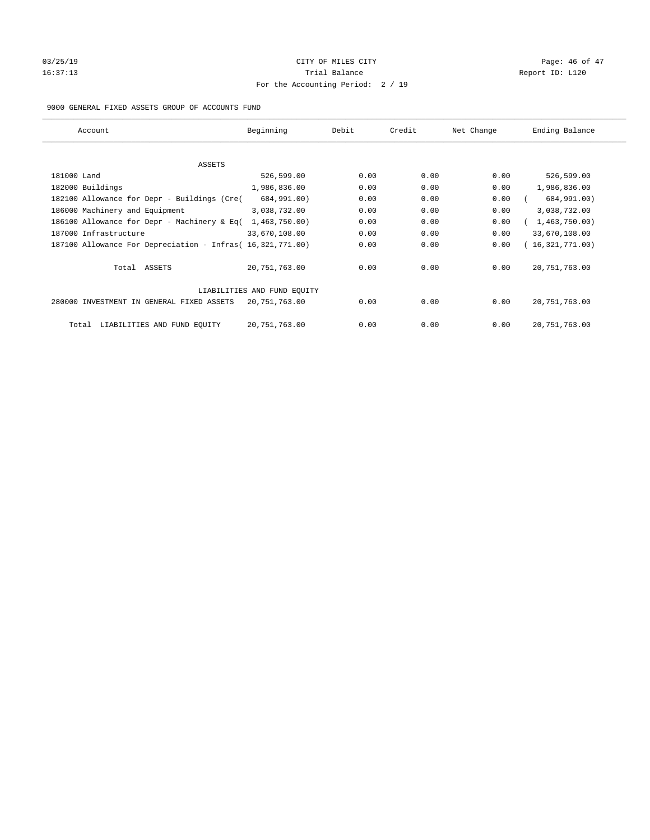# 03/25/19 Page: 46 of 47 16:37:13 Channel Balance Trial Balance Report ID: L120 For the Accounting Period: 2 / 19

### 9000 GENERAL FIXED ASSETS GROUP OF ACCOUNTS FUND

| Account                                                    | Beginning                   | Debit | Credit | Net Change | Ending Balance  |
|------------------------------------------------------------|-----------------------------|-------|--------|------------|-----------------|
| ASSETS                                                     |                             |       |        |            |                 |
| 181000 Land                                                | 526,599.00                  | 0.00  | 0.00   | 0.00       | 526,599.00      |
| 182000 Buildings                                           | 1,986,836.00                | 0.00  | 0.00   | 0.00       | 1,986,836.00    |
| 182100 Allowance for Depr - Buildings (Cre(                | 684,991.00)                 | 0.00  | 0.00   | 0.00       | 684,991.00)     |
| 186000 Machinery and Equipment                             | 3,038,732.00                | 0.00  | 0.00   | 0.00       | 3,038,732.00    |
| 186100 Allowance for Depr - Machinery & Eq(                | 1,463,750.00)               | 0.00  | 0.00   | 0.00       | 1,463,750.00)   |
| 187000 Infrastructure                                      | 33,670,108.00               | 0.00  | 0.00   | 0.00       | 33,670,108.00   |
| 187100 Allowance For Depreciation - Infras( 16,321,771.00) |                             | 0.00  | 0.00   | 0.00       | 16,321,771.00)  |
| Total ASSETS                                               | 20,751,763.00               | 0.00  | 0.00   | 0.00       | 20, 751, 763.00 |
|                                                            | LIABILITIES AND FUND EQUITY |       |        |            |                 |
| 280000 INVESTMENT IN GENERAL FIXED ASSETS                  | 20,751,763.00               | 0.00  | 0.00   | 0.00       | 20, 751, 763.00 |
| LIABILITIES AND FUND EQUITY<br>Total                       | 20, 751, 763.00             | 0.00  | 0.00   | 0.00       | 20, 751, 763.00 |